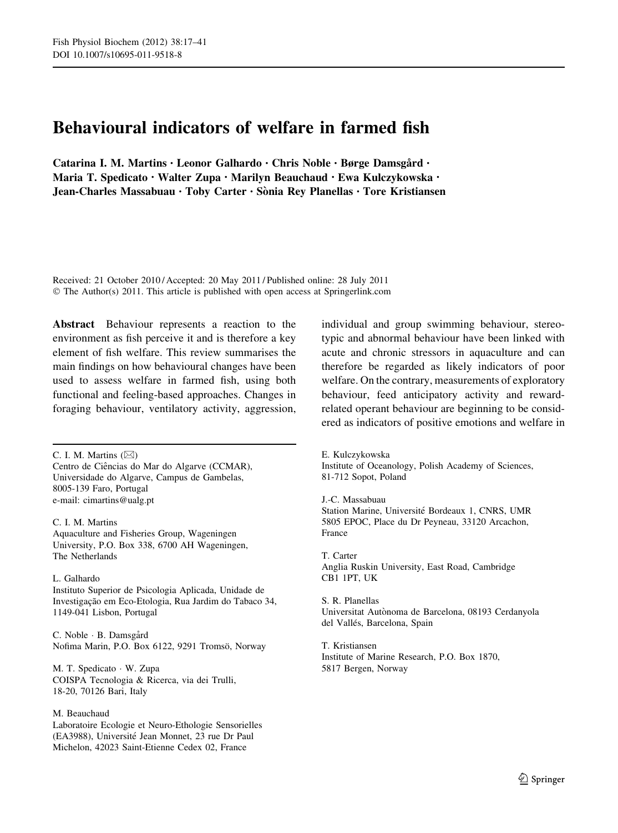# Behavioural indicators of welfare in farmed fish

Catarina I. M. Martins · Leonor Galhardo · Chris Noble · Børge Damsgård · Maria T. Spedicato • Walter Zupa • Marilyn Beauchaud • Ewa Kulczykowska • Jean-Charles Massabuau · Toby Carter · Sònia Rey Planellas · Tore Kristiansen

Received: 21 October 2010 / Accepted: 20 May 2011 / Published online: 28 July 2011 © The Author(s) 2011. This article is published with open access at Springerlink.com

Abstract Behaviour represents a reaction to the environment as fish perceive it and is therefore a key element of fish welfare. This review summarises the main findings on how behavioural changes have been used to assess welfare in farmed fish, using both functional and feeling-based approaches. Changes in foraging behaviour, ventilatory activity, aggression,

C. I. M. Martins  $(\boxtimes)$ Centro de Ciências do Mar do Algarve (CCMAR), Universidade do Algarve, Campus de Gambelas, 8005-139 Faro, Portugal e-mail: cimartins@ualg.pt

C. I. M. Martins Aquaculture and Fisheries Group, Wageningen University, P.O. Box 338, 6700 AH Wageningen, The Netherlands

L. Galhardo Instituto Superior de Psicologia Aplicada, Unidade de Investigação em Eco-Etologia, Rua Jardim do Tabaco 34, 1149-041 Lisbon, Portugal

C. Noble · B. Damsgård Nofima Marin, P.O. Box 6122, 9291 Tromsö, Norway

M. T. Spedicato - W. Zupa COISPA Tecnologia & Ricerca, via dei Trulli, 18-20, 70126 Bari, Italy

M. Beauchaud

Laboratoire Ecologie et Neuro-Ethologie Sensorielles (EA3988), Université Jean Monnet, 23 rue Dr Paul Michelon, 42023 Saint-Etienne Cedex 02, France

individual and group swimming behaviour, stereotypic and abnormal behaviour have been linked with acute and chronic stressors in aquaculture and can therefore be regarded as likely indicators of poor welfare. On the contrary, measurements of exploratory behaviour, feed anticipatory activity and rewardrelated operant behaviour are beginning to be considered as indicators of positive emotions and welfare in

E. Kulczykowska Institute of Oceanology, Polish Academy of Sciences, 81-712 Sopot, Poland

J.-C. Massabuau Station Marine, Université Bordeaux 1, CNRS, UMR 5805 EPOC, Place du Dr Peyneau, 33120 Arcachon, France

T. Carter Anglia Ruskin University, East Road, Cambridge CB1 1PT, UK

S. R. Planellas Universitat Autònoma de Barcelona, 08193 Cerdanyola del Vallés, Barcelona, Spain

T. Kristiansen Institute of Marine Research, P.O. Box 1870, 5817 Bergen, Norway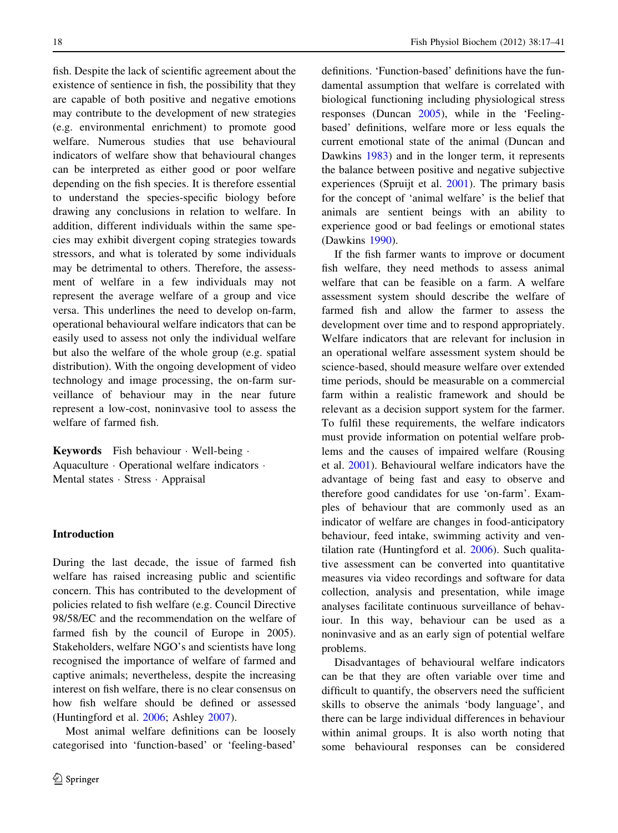fish. Despite the lack of scientific agreement about the existence of sentience in fish, the possibility that they are capable of both positive and negative emotions may contribute to the development of new strategies (e.g. environmental enrichment) to promote good welfare. Numerous studies that use behavioural indicators of welfare show that behavioural changes can be interpreted as either good or poor welfare depending on the fish species. It is therefore essential to understand the species-specific biology before drawing any conclusions in relation to welfare. In addition, different individuals within the same species may exhibit divergent coping strategies towards stressors, and what is tolerated by some individuals may be detrimental to others. Therefore, the assessment of welfare in a few individuals may not represent the average welfare of a group and vice versa. This underlines the need to develop on-farm, operational behavioural welfare indicators that can be easily used to assess not only the individual welfare but also the welfare of the whole group (e.g. spatial distribution). With the ongoing development of video technology and image processing, the on-farm surveillance of behaviour may in the near future represent a low-cost, noninvasive tool to assess the welfare of farmed fish.

Keywords Fish behaviour - Well-being - Aquaculture - Operational welfare indicators - Mental states · Stress · Appraisal

## Introduction

During the last decade, the issue of farmed fish welfare has raised increasing public and scientific concern. This has contributed to the development of policies related to fish welfare (e.g. Council Directive 98/58/EC and the recommendation on the welfare of farmed fish by the council of Europe in 2005). Stakeholders, welfare NGO's and scientists have long recognised the importance of welfare of farmed and captive animals; nevertheless, despite the increasing interest on fish welfare, there is no clear consensus on how fish welfare should be defined or assessed (Huntingford et al. [2006](#page-20-0); Ashley [2007](#page-17-0)).

Most animal welfare definitions can be loosely categorised into 'function-based' or 'feeling-based' definitions. 'Function-based' definitions have the fundamental assumption that welfare is correlated with biological functioning including physiological stress responses (Duncan [2005\)](#page-19-0), while in the 'Feelingbased' definitions, welfare more or less equals the current emotional state of the animal (Duncan and Dawkins [1983](#page-19-0)) and in the longer term, it represents the balance between positive and negative subjective experiences (Spruijt et al. [2001](#page-23-0)). The primary basis for the concept of 'animal welfare' is the belief that animals are sentient beings with an ability to experience good or bad feelings or emotional states (Dawkins [1990\)](#page-19-0).

If the fish farmer wants to improve or document fish welfare, they need methods to assess animal welfare that can be feasible on a farm. A welfare assessment system should describe the welfare of farmed fish and allow the farmer to assess the development over time and to respond appropriately. Welfare indicators that are relevant for inclusion in an operational welfare assessment system should be science-based, should measure welfare over extended time periods, should be measurable on a commercial farm within a realistic framework and should be relevant as a decision support system for the farmer. To fulfil these requirements, the welfare indicators must provide information on potential welfare problems and the causes of impaired welfare (Rousing et al. [2001](#page-22-0)). Behavioural welfare indicators have the advantage of being fast and easy to observe and therefore good candidates for use 'on-farm'. Examples of behaviour that are commonly used as an indicator of welfare are changes in food-anticipatory behaviour, feed intake, swimming activity and ventilation rate (Huntingford et al. [2006\)](#page-20-0). Such qualitative assessment can be converted into quantitative measures via video recordings and software for data collection, analysis and presentation, while image analyses facilitate continuous surveillance of behaviour. In this way, behaviour can be used as a noninvasive and as an early sign of potential welfare problems.

Disadvantages of behavioural welfare indicators can be that they are often variable over time and difficult to quantify, the observers need the sufficient skills to observe the animals 'body language', and there can be large individual differences in behaviour within animal groups. It is also worth noting that some behavioural responses can be considered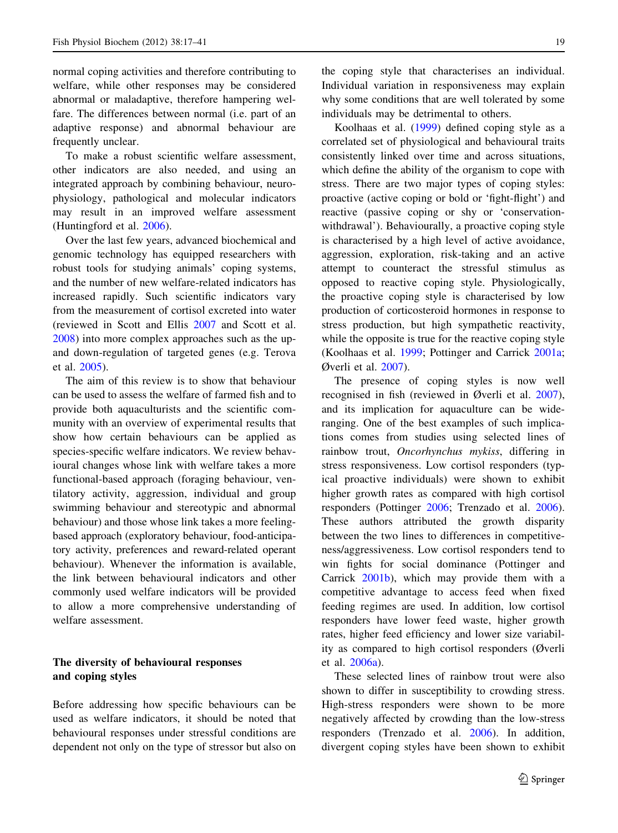normal coping activities and therefore contributing to welfare, while other responses may be considered abnormal or maladaptive, therefore hampering welfare. The differences between normal (i.e. part of an adaptive response) and abnormal behaviour are frequently unclear.

To make a robust scientific welfare assessment, other indicators are also needed, and using an integrated approach by combining behaviour, neurophysiology, pathological and molecular indicators may result in an improved welfare assessment (Huntingford et al. [2006](#page-20-0)).

Over the last few years, advanced biochemical and genomic technology has equipped researchers with robust tools for studying animals' coping systems, and the number of new welfare-related indicators has increased rapidly. Such scientific indicators vary from the measurement of cortisol excreted into water (reviewed in Scott and Ellis [2007](#page-23-0) and Scott et al. [2008\)](#page-23-0) into more complex approaches such as the upand down-regulation of targeted genes (e.g. Terova et al. [2005](#page-23-0)).

The aim of this review is to show that behaviour can be used to assess the welfare of farmed fish and to provide both aquaculturists and the scientific community with an overview of experimental results that show how certain behaviours can be applied as species-specific welfare indicators. We review behavioural changes whose link with welfare takes a more functional-based approach (foraging behaviour, ventilatory activity, aggression, individual and group swimming behaviour and stereotypic and abnormal behaviour) and those whose link takes a more feelingbased approach (exploratory behaviour, food-anticipatory activity, preferences and reward-related operant behaviour). Whenever the information is available, the link between behavioural indicators and other commonly used welfare indicators will be provided to allow a more comprehensive understanding of welfare assessment.

# The diversity of behavioural responses and coping styles

Before addressing how specific behaviours can be used as welfare indicators, it should be noted that behavioural responses under stressful conditions are dependent not only on the type of stressor but also on the coping style that characterises an individual. Individual variation in responsiveness may explain why some conditions that are well tolerated by some individuals may be detrimental to others.

Koolhaas et al. [\(1999](#page-20-0)) defined coping style as a correlated set of physiological and behavioural traits consistently linked over time and across situations, which define the ability of the organism to cope with stress. There are two major types of coping styles: proactive (active coping or bold or 'fight-flight') and reactive (passive coping or shy or 'conservationwithdrawal'). Behaviourally, a proactive coping style is characterised by a high level of active avoidance, aggression, exploration, risk-taking and an active attempt to counteract the stressful stimulus as opposed to reactive coping style. Physiologically, the proactive coping style is characterised by low production of corticosteroid hormones in response to stress production, but high sympathetic reactivity, while the opposite is true for the reactive coping style (Koolhaas et al. [1999](#page-20-0); Pottinger and Carrick [2001a](#page-22-0); Øverli et al. [2007](#page-22-0)).

The presence of coping styles is now well recognised in fish (reviewed in Øverli et al. [2007](#page-22-0)), and its implication for aquaculture can be wideranging. One of the best examples of such implications comes from studies using selected lines of rainbow trout, Oncorhynchus mykiss, differing in stress responsiveness. Low cortisol responders (typical proactive individuals) were shown to exhibit higher growth rates as compared with high cortisol responders (Pottinger [2006;](#page-22-0) Trenzado et al. [2006](#page-23-0)). These authors attributed the growth disparity between the two lines to differences in competitiveness/aggressiveness. Low cortisol responders tend to win fights for social dominance (Pottinger and Carrick [2001b\)](#page-22-0), which may provide them with a competitive advantage to access feed when fixed feeding regimes are used. In addition, low cortisol responders have lower feed waste, higher growth rates, higher feed efficiency and lower size variability as compared to high cortisol responders (Øverli et al. [2006a](#page-22-0)).

These selected lines of rainbow trout were also shown to differ in susceptibility to crowding stress. High-stress responders were shown to be more negatively affected by crowding than the low-stress responders (Trenzado et al. [2006\)](#page-23-0). In addition, divergent coping styles have been shown to exhibit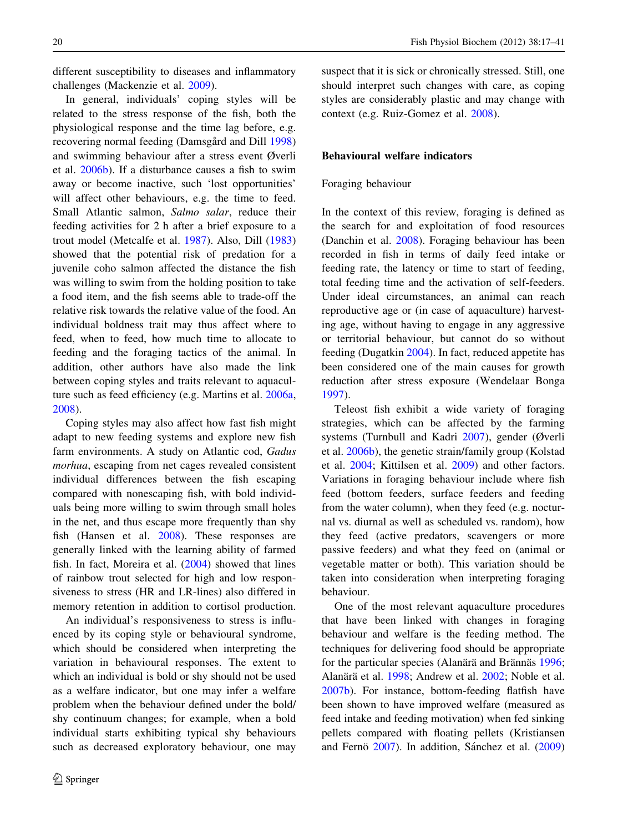different susceptibility to diseases and inflammatory challenges (Mackenzie et al. [2009\)](#page-21-0).

In general, individuals' coping styles will be related to the stress response of the fish, both the physiological response and the time lag before, e.g. recovering normal feeding (Damsgård and Dill [1998\)](#page-19-0) and swimming behaviour after a stress event Øverli et al. [2006b\)](#page-22-0). If a disturbance causes a fish to swim away or become inactive, such 'lost opportunities' will affect other behaviours, e.g. the time to feed. Small Atlantic salmon, Salmo salar, reduce their feeding activities for 2 h after a brief exposure to a trout model (Metcalfe et al. [1987](#page-21-0)). Also, Dill ([1983\)](#page-19-0) showed that the potential risk of predation for a juvenile coho salmon affected the distance the fish was willing to swim from the holding position to take a food item, and the fish seems able to trade-off the relative risk towards the relative value of the food. An individual boldness trait may thus affect where to feed, when to feed, how much time to allocate to feeding and the foraging tactics of the animal. In addition, other authors have also made the link between coping styles and traits relevant to aquaculture such as feed efficiency (e.g. Martins et al. [2006a,](#page-21-0) [2008\)](#page-21-0).

Coping styles may also affect how fast fish might adapt to new feeding systems and explore new fish farm environments. A study on Atlantic cod, Gadus morhua, escaping from net cages revealed consistent individual differences between the fish escaping compared with nonescaping fish, with bold individuals being more willing to swim through small holes in the net, and thus escape more frequently than shy fish (Hansen et al. [2008\)](#page-20-0). These responses are generally linked with the learning ability of farmed fish. In fact, Moreira et al. ([2004\)](#page-21-0) showed that lines of rainbow trout selected for high and low responsiveness to stress (HR and LR-lines) also differed in memory retention in addition to cortisol production.

An individual's responsiveness to stress is influenced by its coping style or behavioural syndrome, which should be considered when interpreting the variation in behavioural responses. The extent to which an individual is bold or shy should not be used as a welfare indicator, but one may infer a welfare problem when the behaviour defined under the bold/ shy continuum changes; for example, when a bold individual starts exhibiting typical shy behaviours such as decreased exploratory behaviour, one may suspect that it is sick or chronically stressed. Still, one should interpret such changes with care, as coping styles are considerably plastic and may change with context (e.g. Ruiz-Gomez et al. [2008\)](#page-22-0).

## Behavioural welfare indicators

#### Foraging behaviour

In the context of this review, foraging is defined as the search for and exploitation of food resources (Danchin et al. [2008\)](#page-19-0). Foraging behaviour has been recorded in fish in terms of daily feed intake or feeding rate, the latency or time to start of feeding, total feeding time and the activation of self-feeders. Under ideal circumstances, an animal can reach reproductive age or (in case of aquaculture) harvesting age, without having to engage in any aggressive or territorial behaviour, but cannot do so without feeding (Dugatkin [2004](#page-19-0)). In fact, reduced appetite has been considered one of the main causes for growth reduction after stress exposure (Wendelaar Bonga [1997\)](#page-23-0).

Teleost fish exhibit a wide variety of foraging strategies, which can be affected by the farming systems (Turnbull and Kadri [2007\)](#page-23-0), gender (Øverli et al. [2006b\)](#page-22-0), the genetic strain/family group (Kolstad et al. [2004;](#page-20-0) Kittilsen et al. [2009](#page-20-0)) and other factors. Variations in foraging behaviour include where fish feed (bottom feeders, surface feeders and feeding from the water column), when they feed (e.g. nocturnal vs. diurnal as well as scheduled vs. random), how they feed (active predators, scavengers or more passive feeders) and what they feed on (animal or vegetable matter or both). This variation should be taken into consideration when interpreting foraging behaviour.

One of the most relevant aquaculture procedures that have been linked with changes in foraging behaviour and welfare is the feeding method. The techniques for delivering food should be appropriate for the particular species (Alanärä and Brännäs [1996](#page-17-0); Alanärä et al. [1998;](#page-17-0) Andrew et al. [2002;](#page-17-0) Noble et al. [2007b\)](#page-21-0). For instance, bottom-feeding flatfish have been shown to have improved welfare (measured as feed intake and feeding motivation) when fed sinking pellets compared with floating pellets (Kristiansen and Fernö  $2007$ ). In addition, Sánchez et al.  $(2009)$  $(2009)$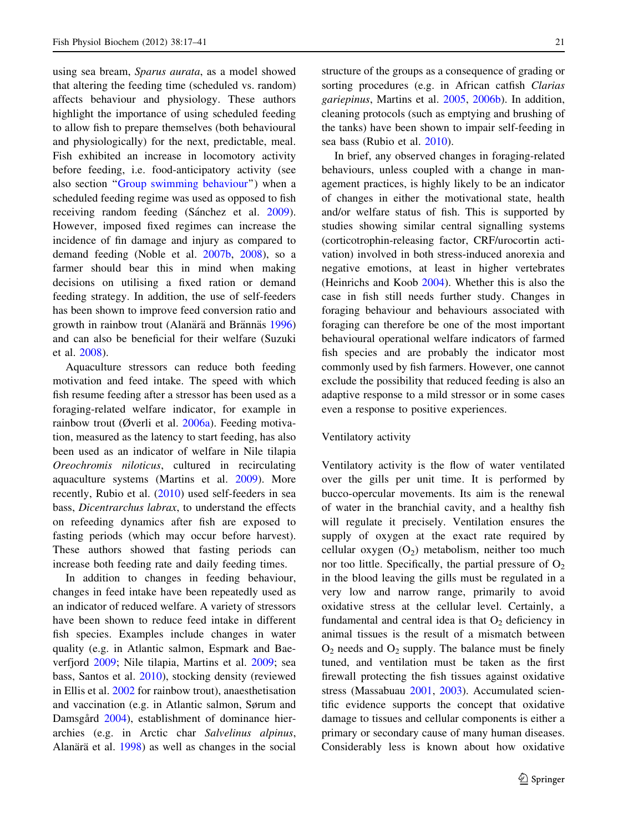using sea bream, Sparus aurata, as a model showed that altering the feeding time (scheduled vs. random) affects behaviour and physiology. These authors highlight the importance of using scheduled feeding to allow fish to prepare themselves (both behavioural and physiologically) for the next, predictable, meal. Fish exhibited an increase in locomotory activity before feeding, i.e. food-anticipatory activity (see also section '['Group swimming behaviour'](#page-9-0)') when a scheduled feeding regime was used as opposed to fish receiving random feeding (Sánchez et al. [2009](#page-22-0)). However, imposed fixed regimes can increase the incidence of fin damage and injury as compared to demand feeding (Noble et al. [2007b,](#page-21-0) [2008](#page-21-0)), so a farmer should bear this in mind when making decisions on utilising a fixed ration or demand feeding strategy. In addition, the use of self-feeders has been shown to improve feed conversion ratio and growth in rainbow trout (Alanärä and Brännäs [1996\)](#page-17-0) and can also be beneficial for their welfare (Suzuki et al. [2008](#page-23-0)).

Aquaculture stressors can reduce both feeding motivation and feed intake. The speed with which fish resume feeding after a stressor has been used as a foraging-related welfare indicator, for example in rainbow trout (Øverli et al. [2006a](#page-22-0)). Feeding motivation, measured as the latency to start feeding, has also been used as an indicator of welfare in Nile tilapia Oreochromis niloticus, cultured in recirculating aquaculture systems (Martins et al. [2009](#page-21-0)). More recently, Rubio et al. ([2010\)](#page-22-0) used self-feeders in sea bass, Dicentrarchus labrax, to understand the effects on refeeding dynamics after fish are exposed to fasting periods (which may occur before harvest). These authors showed that fasting periods can increase both feeding rate and daily feeding times.

In addition to changes in feeding behaviour, changes in feed intake have been repeatedly used as an indicator of reduced welfare. A variety of stressors have been shown to reduce feed intake in different fish species. Examples include changes in water quality (e.g. in Atlantic salmon, Espmark and Baeverfjord [2009;](#page-19-0) Nile tilapia, Martins et al. [2009;](#page-21-0) sea bass, Santos et al. [2010](#page-22-0)), stocking density (reviewed in Ellis et al. [2002](#page-19-0) for rainbow trout), anaesthetisation and vaccination (e.g. in Atlantic salmon, Sørum and Damsgård [2004](#page-23-0)), establishment of dominance hierarchies (e.g. in Arctic char Salvelinus alpinus, Alanärä et al. [1998\)](#page-17-0) as well as changes in the social structure of the groups as a consequence of grading or sorting procedures (e.g. in African catfish Clarias gariepinus, Martins et al. [2005,](#page-21-0) [2006b\)](#page-21-0). In addition, cleaning protocols (such as emptying and brushing of the tanks) have been shown to impair self-feeding in sea bass (Rubio et al. [2010](#page-22-0)).

In brief, any observed changes in foraging-related behaviours, unless coupled with a change in management practices, is highly likely to be an indicator of changes in either the motivational state, health and/or welfare status of fish. This is supported by studies showing similar central signalling systems (corticotrophin-releasing factor, CRF/urocortin activation) involved in both stress-induced anorexia and negative emotions, at least in higher vertebrates (Heinrichs and Koob [2004\)](#page-20-0). Whether this is also the case in fish still needs further study. Changes in foraging behaviour and behaviours associated with foraging can therefore be one of the most important behavioural operational welfare indicators of farmed fish species and are probably the indicator most commonly used by fish farmers. However, one cannot exclude the possibility that reduced feeding is also an adaptive response to a mild stressor or in some cases even a response to positive experiences.

#### Ventilatory activity

Ventilatory activity is the flow of water ventilated over the gills per unit time. It is performed by bucco-opercular movements. Its aim is the renewal of water in the branchial cavity, and a healthy fish will regulate it precisely. Ventilation ensures the supply of oxygen at the exact rate required by cellular oxygen  $(O_2)$  metabolism, neither too much nor too little. Specifically, the partial pressure of  $O_2$ in the blood leaving the gills must be regulated in a very low and narrow range, primarily to avoid oxidative stress at the cellular level. Certainly, a fundamental and central idea is that  $O<sub>2</sub>$  deficiency in animal tissues is the result of a mismatch between  $O_2$  needs and  $O_2$  supply. The balance must be finely tuned, and ventilation must be taken as the first firewall protecting the fish tissues against oxidative stress (Massabuau [2001](#page-21-0), [2003](#page-21-0)). Accumulated scientific evidence supports the concept that oxidative damage to tissues and cellular components is either a primary or secondary cause of many human diseases. Considerably less is known about how oxidative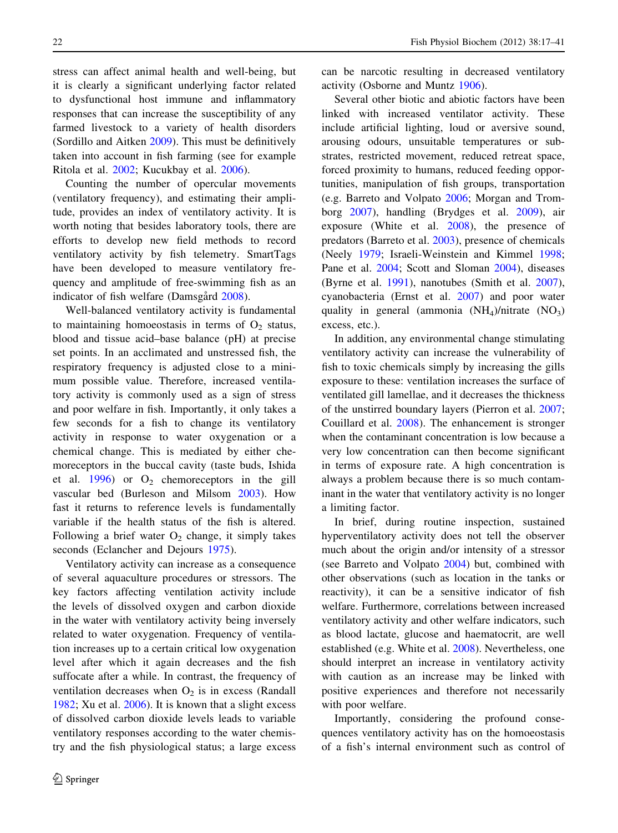stress can affect animal health and well-being, but it is clearly a significant underlying factor related to dysfunctional host immune and inflammatory responses that can increase the susceptibility of any farmed livestock to a variety of health disorders (Sordillo and Aitken [2009\)](#page-23-0). This must be definitively taken into account in fish farming (see for example Ritola et al. [2002;](#page-22-0) Kucukbay et al. [2006\)](#page-21-0).

Counting the number of opercular movements (ventilatory frequency), and estimating their amplitude, provides an index of ventilatory activity. It is worth noting that besides laboratory tools, there are efforts to develop new field methods to record ventilatory activity by fish telemetry. SmartTags have been developed to measure ventilatory frequency and amplitude of free-swimming fish as an indicator of fish welfare (Damsgård [2008](#page-18-0)).

Well-balanced ventilatory activity is fundamental to maintaining homoeostasis in terms of  $O_2$  status, blood and tissue acid–base balance (pH) at precise set points. In an acclimated and unstressed fish, the respiratory frequency is adjusted close to a minimum possible value. Therefore, increased ventilatory activity is commonly used as a sign of stress and poor welfare in fish. Importantly, it only takes a few seconds for a fish to change its ventilatory activity in response to water oxygenation or a chemical change. This is mediated by either chemoreceptors in the buccal cavity (taste buds, Ishida et al. [1996\)](#page-20-0) or  $O_2$  chemoreceptors in the gill vascular bed (Burleson and Milsom [2003\)](#page-18-0). How fast it returns to reference levels is fundamentally variable if the health status of the fish is altered. Following a brief water  $O_2$  change, it simply takes seconds (Eclancher and Dejours [1975\)](#page-19-0).

Ventilatory activity can increase as a consequence of several aquaculture procedures or stressors. The key factors affecting ventilation activity include the levels of dissolved oxygen and carbon dioxide in the water with ventilatory activity being inversely related to water oxygenation. Frequency of ventilation increases up to a certain critical low oxygenation level after which it again decreases and the fish suffocate after a while. In contrast, the frequency of ventilation decreases when  $O_2$  is in excess (Randall [1982;](#page-22-0) Xu et al. [2006\)](#page-24-0). It is known that a slight excess of dissolved carbon dioxide levels leads to variable ventilatory responses according to the water chemistry and the fish physiological status; a large excess can be narcotic resulting in decreased ventilatory activity (Osborne and Muntz [1906\)](#page-21-0).

Several other biotic and abiotic factors have been linked with increased ventilator activity. These include artificial lighting, loud or aversive sound, arousing odours, unsuitable temperatures or substrates, restricted movement, reduced retreat space, forced proximity to humans, reduced feeding opportunities, manipulation of fish groups, transportation (e.g. Barreto and Volpato [2006](#page-17-0); Morgan and Tromborg [2007\)](#page-21-0), handling (Brydges et al. [2009](#page-18-0)), air exposure (White et al. [2008](#page-23-0)), the presence of predators (Barreto et al. [2003](#page-17-0)), presence of chemicals (Neely [1979](#page-21-0); Israeli-Weinstein and Kimmel [1998](#page-20-0); Pane et al. [2004](#page-22-0); Scott and Sloman [2004\)](#page-23-0), diseases (Byrne et al. [1991](#page-18-0)), nanotubes (Smith et al. [2007](#page-23-0)), cyanobacteria (Ernst et al. [2007\)](#page-19-0) and poor water quality in general (ammonia  $(NH<sub>4</sub>)/$ nitrate  $(NO<sub>3</sub>)$ excess, etc.).

In addition, any environmental change stimulating ventilatory activity can increase the vulnerability of fish to toxic chemicals simply by increasing the gills exposure to these: ventilation increases the surface of ventilated gill lamellae, and it decreases the thickness of the unstirred boundary layers (Pierron et al. [2007](#page-22-0); Couillard et al. [2008](#page-18-0)). The enhancement is stronger when the contaminant concentration is low because a very low concentration can then become significant in terms of exposure rate. A high concentration is always a problem because there is so much contaminant in the water that ventilatory activity is no longer a limiting factor.

In brief, during routine inspection, sustained hyperventilatory activity does not tell the observer much about the origin and/or intensity of a stressor (see Barreto and Volpato [2004\)](#page-17-0) but, combined with other observations (such as location in the tanks or reactivity), it can be a sensitive indicator of fish welfare. Furthermore, correlations between increased ventilatory activity and other welfare indicators, such as blood lactate, glucose and haematocrit, are well established (e.g. White et al. [2008\)](#page-23-0). Nevertheless, one should interpret an increase in ventilatory activity with caution as an increase may be linked with positive experiences and therefore not necessarily with poor welfare.

Importantly, considering the profound consequences ventilatory activity has on the homoeostasis of a fish's internal environment such as control of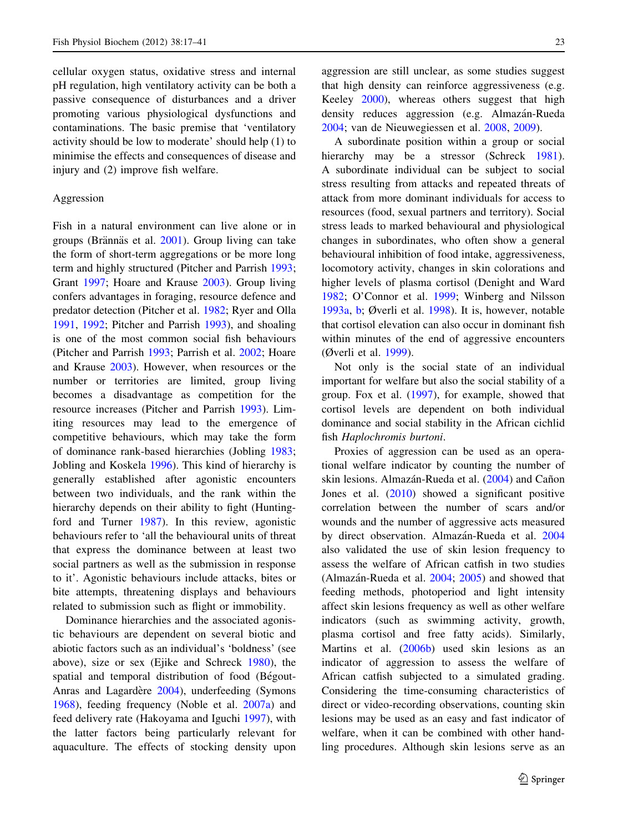cellular oxygen status, oxidative stress and internal pH regulation, high ventilatory activity can be both a passive consequence of disturbances and a driver promoting various physiological dysfunctions and contaminations. The basic premise that 'ventilatory activity should be low to moderate' should help (1) to minimise the effects and consequences of disease and injury and (2) improve fish welfare.

## Aggression

Fish in a natural environment can live alone or in groups (Brännäs et al. [2001\)](#page-18-0). Group living can take the form of short-term aggregations or be more long term and highly structured (Pitcher and Parrish [1993](#page-22-0); Grant [1997;](#page-19-0) Hoare and Krause [2003\)](#page-20-0). Group living confers advantages in foraging, resource defence and predator detection (Pitcher et al. [1982;](#page-22-0) Ryer and Olla [1991,](#page-22-0) [1992;](#page-22-0) Pitcher and Parrish [1993\)](#page-22-0), and shoaling is one of the most common social fish behaviours (Pitcher and Parrish [1993;](#page-22-0) Parrish et al. [2002;](#page-22-0) Hoare and Krause [2003](#page-20-0)). However, when resources or the number or territories are limited, group living becomes a disadvantage as competition for the resource increases (Pitcher and Parrish [1993](#page-22-0)). Limiting resources may lead to the emergence of competitive behaviours, which may take the form of dominance rank-based hierarchies (Jobling [1983](#page-20-0); Jobling and Koskela [1996\)](#page-20-0). This kind of hierarchy is generally established after agonistic encounters between two individuals, and the rank within the hierarchy depends on their ability to fight (Huntingford and Turner [1987](#page-20-0)). In this review, agonistic behaviours refer to 'all the behavioural units of threat that express the dominance between at least two social partners as well as the submission in response to it'. Agonistic behaviours include attacks, bites or bite attempts, threatening displays and behaviours related to submission such as flight or immobility.

Dominance hierarchies and the associated agonistic behaviours are dependent on several biotic and abiotic factors such as an individual's 'boldness' (see above), size or sex (Ejike and Schreck [1980](#page-19-0)), the spatial and temporal distribution of food (Bégout-Anras and Lagardère [2004](#page-18-0)), underfeeding (Symons [1968\)](#page-23-0), feeding frequency (Noble et al. [2007a\)](#page-21-0) and feed delivery rate (Hakoyama and Iguchi [1997\)](#page-19-0), with the latter factors being particularly relevant for aquaculture. The effects of stocking density upon

aggression are still unclear, as some studies suggest that high density can reinforce aggressiveness (e.g. Keeley [2000](#page-20-0)), whereas others suggest that high density reduces aggression (e.g. Almazán-Rueda) [2004;](#page-17-0) van de Nieuwegiessen et al. [2008](#page-23-0), [2009\)](#page-23-0).

A subordinate position within a group or social hierarchy may be a stressor (Schreck [1981](#page-22-0)). A subordinate individual can be subject to social stress resulting from attacks and repeated threats of attack from more dominant individuals for access to resources (food, sexual partners and territory). Social stress leads to marked behavioural and physiological changes in subordinates, who often show a general behavioural inhibition of food intake, aggressiveness, locomotory activity, changes in skin colorations and higher levels of plasma cortisol (Denight and Ward [1982;](#page-19-0) O'Connor et al. [1999;](#page-21-0) Winberg and Nilsson [1993a](#page-23-0), [b](#page-24-0); Øverli et al. [1998](#page-21-0)). It is, however, notable that cortisol elevation can also occur in dominant fish within minutes of the end of aggressive encounters (Øverli et al. [1999\)](#page-21-0).

Not only is the social state of an individual important for welfare but also the social stability of a group. Fox et al. ([1997\)](#page-19-0), for example, showed that cortisol levels are dependent on both individual dominance and social stability in the African cichlid fish Haplochromis burtoni.

Proxies of aggression can be used as an operational welfare indicator by counting the number of skin lesions. Almazán-Rueda et al. ([2004\)](#page-17-0) and Cañon Jones et al. [\(2010](#page-18-0)) showed a significant positive correlation between the number of scars and/or wounds and the number of aggressive acts measured by direct observation. Almazán-Rueda et al. [2004](#page-17-0) also validated the use of skin lesion frequency to assess the welfare of African catfish in two studies (Almazán-Rueda et al.  $2004$ ;  $2005$ ) and showed that feeding methods, photoperiod and light intensity affect skin lesions frequency as well as other welfare indicators (such as swimming activity, growth, plasma cortisol and free fatty acids). Similarly, Martins et al. [\(2006b](#page-21-0)) used skin lesions as an indicator of aggression to assess the welfare of African catfish subjected to a simulated grading. Considering the time-consuming characteristics of direct or video-recording observations, counting skin lesions may be used as an easy and fast indicator of welfare, when it can be combined with other handling procedures. Although skin lesions serve as an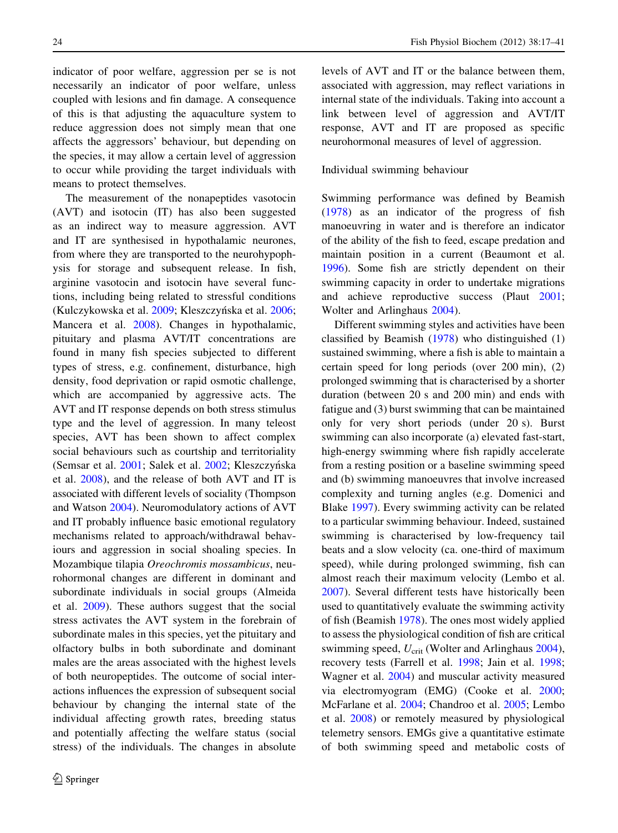indicator of poor welfare, aggression per se is not necessarily an indicator of poor welfare, unless coupled with lesions and fin damage. A consequence of this is that adjusting the aquaculture system to reduce aggression does not simply mean that one affects the aggressors' behaviour, but depending on the species, it may allow a certain level of aggression to occur while providing the target individuals with means to protect themselves.

The measurement of the nonapeptides vasotocin (AVT) and isotocin (IT) has also been suggested as an indirect way to measure aggression. AVT and IT are synthesised in hypothalamic neurones, from where they are transported to the neurohypophysis for storage and subsequent release. In fish, arginine vasotocin and isotocin have several functions, including being related to stressful conditions (Kulczykowska et al. [2009](#page-21-0); Kleszczyńska et al. [2006](#page-20-0); Mancera et al. [2008\)](#page-21-0). Changes in hypothalamic, pituitary and plasma AVT/IT concentrations are found in many fish species subjected to different types of stress, e.g. confinement, disturbance, high density, food deprivation or rapid osmotic challenge, which are accompanied by aggressive acts. The AVT and IT response depends on both stress stimulus type and the level of aggression. In many teleost species, AVT has been shown to affect complex social behaviours such as courtship and territoriality (Semsar et al. [2001](#page-23-0); Salek et al. [2002](#page-22-0); Kleszczyńska et al. [2008](#page-20-0)), and the release of both AVT and IT is associated with different levels of sociality (Thompson and Watson [2004](#page-23-0)). Neuromodulatory actions of AVT and IT probably influence basic emotional regulatory mechanisms related to approach/withdrawal behaviours and aggression in social shoaling species. In Mozambique tilapia Oreochromis mossambicus, neurohormonal changes are different in dominant and subordinate individuals in social groups (Almeida et al. [2009](#page-17-0)). These authors suggest that the social stress activates the AVT system in the forebrain of subordinate males in this species, yet the pituitary and olfactory bulbs in both subordinate and dominant males are the areas associated with the highest levels of both neuropeptides. The outcome of social interactions influences the expression of subsequent social behaviour by changing the internal state of the individual affecting growth rates, breeding status and potentially affecting the welfare status (social stress) of the individuals. The changes in absolute

levels of AVT and IT or the balance between them, associated with aggression, may reflect variations in internal state of the individuals. Taking into account a link between level of aggression and AVT/IT response, AVT and IT are proposed as specific neurohormonal measures of level of aggression.

## Individual swimming behaviour

Swimming performance was defined by Beamish [\(1978](#page-18-0)) as an indicator of the progress of fish manoeuvring in water and is therefore an indicator of the ability of the fish to feed, escape predation and maintain position in a current (Beaumont et al. [1996\)](#page-18-0). Some fish are strictly dependent on their swimming capacity in order to undertake migrations and achieve reproductive success (Plaut [2001](#page-22-0); Wolter and Arlinghaus [2004](#page-24-0)).

Different swimming styles and activities have been classified by Beamish ([1978\)](#page-18-0) who distinguished (1) sustained swimming, where a fish is able to maintain a certain speed for long periods (over 200 min), (2) prolonged swimming that is characterised by a shorter duration (between 20 s and 200 min) and ends with fatigue and (3) burst swimming that can be maintained only for very short periods (under 20 s). Burst swimming can also incorporate (a) elevated fast-start, high-energy swimming where fish rapidly accelerate from a resting position or a baseline swimming speed and (b) swimming manoeuvres that involve increased complexity and turning angles (e.g. Domenici and Blake [1997\)](#page-19-0). Every swimming activity can be related to a particular swimming behaviour. Indeed, sustained swimming is characterised by low-frequency tail beats and a slow velocity (ca. one-third of maximum speed), while during prolonged swimming, fish can almost reach their maximum velocity (Lembo et al. [2007\)](#page-21-0). Several different tests have historically been used to quantitatively evaluate the swimming activity of fish (Beamish [1978\)](#page-18-0). The ones most widely applied to assess the physiological condition of fish are critical swimming speed,  $U_{\text{crit}}$  (Wolter and Arlinghaus [2004](#page-24-0)), recovery tests (Farrell et al. [1998](#page-19-0); Jain et al. [1998](#page-20-0); Wagner et al. [2004\)](#page-23-0) and muscular activity measured via electromyogram (EMG) (Cooke et al. [2000](#page-18-0); McFarlane et al. [2004;](#page-21-0) Chandroo et al. [2005](#page-18-0); Lembo et al. [2008](#page-21-0)) or remotely measured by physiological telemetry sensors. EMGs give a quantitative estimate of both swimming speed and metabolic costs of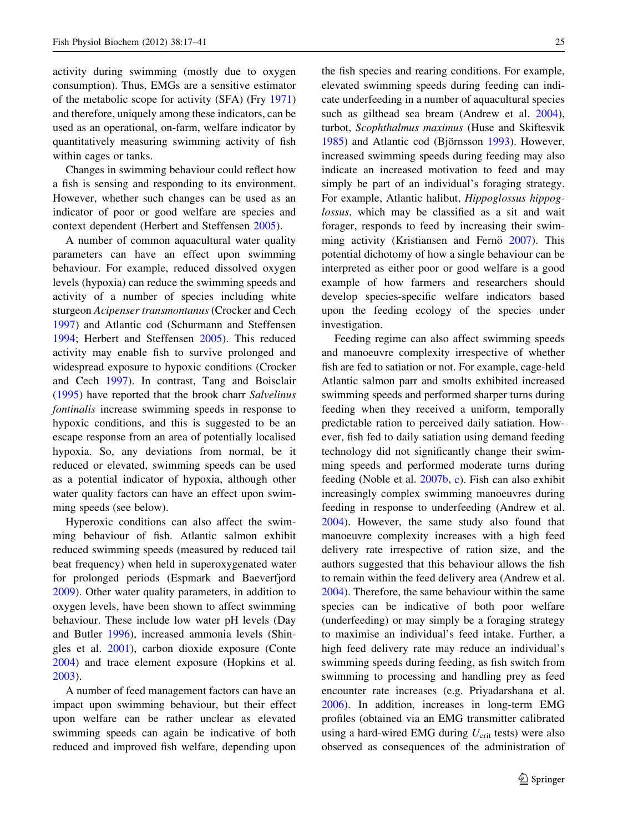activity during swimming (mostly due to oxygen consumption). Thus, EMGs are a sensitive estimator of the metabolic scope for activity (SFA) (Fry [1971\)](#page-19-0) and therefore, uniquely among these indicators, can be used as an operational, on-farm, welfare indicator by quantitatively measuring swimming activity of fish within cages or tanks.

Changes in swimming behaviour could reflect how a fish is sensing and responding to its environment. However, whether such changes can be used as an indicator of poor or good welfare are species and context dependent (Herbert and Steffensen [2005\)](#page-20-0).

A number of common aquacultural water quality parameters can have an effect upon swimming behaviour. For example, reduced dissolved oxygen levels (hypoxia) can reduce the swimming speeds and activity of a number of species including white sturgeon Acipenser transmontanus (Crocker and Cech [1997\)](#page-18-0) and Atlantic cod (Schurmann and Steffensen [1994;](#page-22-0) Herbert and Steffensen [2005\)](#page-20-0). This reduced activity may enable fish to survive prolonged and widespread exposure to hypoxic conditions (Crocker and Cech [1997](#page-18-0)). In contrast, Tang and Boisclair [\(1995](#page-23-0)) have reported that the brook charr Salvelinus fontinalis increase swimming speeds in response to hypoxic conditions, and this is suggested to be an escape response from an area of potentially localised hypoxia. So, any deviations from normal, be it reduced or elevated, swimming speeds can be used as a potential indicator of hypoxia, although other water quality factors can have an effect upon swimming speeds (see below).

Hyperoxic conditions can also affect the swimming behaviour of fish. Atlantic salmon exhibit reduced swimming speeds (measured by reduced tail beat frequency) when held in superoxygenated water for prolonged periods (Espmark and Baeverfjord [2009\)](#page-19-0). Other water quality parameters, in addition to oxygen levels, have been shown to affect swimming behaviour. These include low water pH levels (Day and Butler [1996](#page-19-0)), increased ammonia levels (Shingles et al. [2001](#page-23-0)), carbon dioxide exposure (Conte [2004\)](#page-18-0) and trace element exposure (Hopkins et al. [2003\)](#page-20-0).

A number of feed management factors can have an impact upon swimming behaviour, but their effect upon welfare can be rather unclear as elevated swimming speeds can again be indicative of both reduced and improved fish welfare, depending upon the fish species and rearing conditions. For example, elevated swimming speeds during feeding can indicate underfeeding in a number of aquacultural species such as gilthead sea bream (Andrew et al. [2004](#page-17-0)), turbot, Scophthalmus maximus (Huse and Skiftesvik [1985\)](#page-20-0) and Atlantic cod (Björnsson [1993\)](#page-18-0). However, increased swimming speeds during feeding may also indicate an increased motivation to feed and may simply be part of an individual's foraging strategy. For example, Atlantic halibut, Hippoglossus hippoglossus, which may be classified as a sit and wait forager, responds to feed by increasing their swim-ming activity (Kristiansen and Fernö [2007\)](#page-20-0). This potential dichotomy of how a single behaviour can be interpreted as either poor or good welfare is a good example of how farmers and researchers should develop species-specific welfare indicators based upon the feeding ecology of the species under investigation.

Feeding regime can also affect swimming speeds and manoeuvre complexity irrespective of whether fish are fed to satiation or not. For example, cage-held Atlantic salmon parr and smolts exhibited increased swimming speeds and performed sharper turns during feeding when they received a uniform, temporally predictable ration to perceived daily satiation. However, fish fed to daily satiation using demand feeding technology did not significantly change their swimming speeds and performed moderate turns during feeding (Noble et al. [2007b](#page-21-0), [c](#page-21-0)). Fish can also exhibit increasingly complex swimming manoeuvres during feeding in response to underfeeding (Andrew et al. [2004\)](#page-17-0). However, the same study also found that manoeuvre complexity increases with a high feed delivery rate irrespective of ration size, and the authors suggested that this behaviour allows the fish to remain within the feed delivery area (Andrew et al. [2004\)](#page-17-0). Therefore, the same behaviour within the same species can be indicative of both poor welfare (underfeeding) or may simply be a foraging strategy to maximise an individual's feed intake. Further, a high feed delivery rate may reduce an individual's swimming speeds during feeding, as fish switch from swimming to processing and handling prey as feed encounter rate increases (e.g. Priyadarshana et al. [2006\)](#page-22-0). In addition, increases in long-term EMG profiles (obtained via an EMG transmitter calibrated using a hard-wired EMG during  $U_{\text{crit}}$  tests) were also observed as consequences of the administration of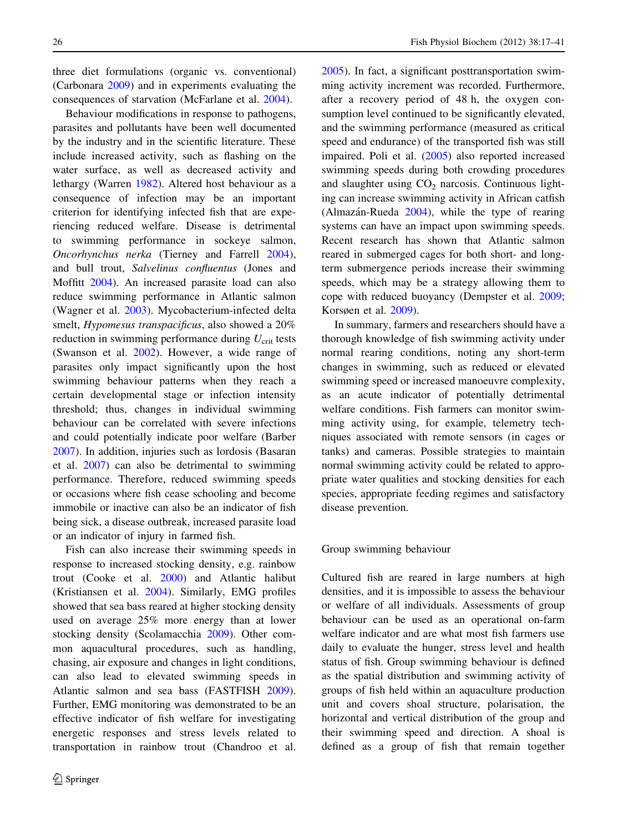<span id="page-9-0"></span>three diet formulations (organic vs. conventional) (Carbonara [2009](#page-18-0)) and in experiments evaluating the consequences of starvation (McFarlane et al. [2004](#page-21-0)).

Behaviour modifications in response to pathogens, parasites and pollutants have been well documented by the industry and in the scientific literature. These include increased activity, such as flashing on the water surface, as well as decreased activity and lethargy (Warren [1982\)](#page-23-0). Altered host behaviour as a consequence of infection may be an important criterion for identifying infected fish that are experiencing reduced welfare. Disease is detrimental to swimming performance in sockeye salmon, Oncorhynchus nerka (Tierney and Farrell [2004](#page-23-0)), and bull trout, Salvelinus confluentus (Jones and Moffitt [2004\)](#page-20-0). An increased parasite load can also reduce swimming performance in Atlantic salmon (Wagner et al. [2003](#page-23-0)). Mycobacterium-infected delta smelt, Hypomesus transpacificus, also showed a 20% reduction in swimming performance during  $U_{\text{crit}}$  tests (Swanson et al. [2002\)](#page-23-0). However, a wide range of parasites only impact significantly upon the host swimming behaviour patterns when they reach a certain developmental stage or infection intensity threshold; thus, changes in individual swimming behaviour can be correlated with severe infections and could potentially indicate poor welfare (Barber [2007\)](#page-17-0). In addition, injuries such as lordosis (Basaran et al. [2007\)](#page-18-0) can also be detrimental to swimming performance. Therefore, reduced swimming speeds or occasions where fish cease schooling and become immobile or inactive can also be an indicator of fish being sick, a disease outbreak, increased parasite load or an indicator of injury in farmed fish.

Fish can also increase their swimming speeds in response to increased stocking density, e.g. rainbow trout (Cooke et al. [2000\)](#page-18-0) and Atlantic halibut (Kristiansen et al. [2004\)](#page-20-0). Similarly, EMG profiles showed that sea bass reared at higher stocking density used on average 25% more energy than at lower stocking density (Scolamacchia [2009](#page-22-0)). Other common aquacultural procedures, such as handling, chasing, air exposure and changes in light conditions, can also lead to elevated swimming speeds in Atlantic salmon and sea bass (FASTFISH [2009](#page-19-0)). Further, EMG monitoring was demonstrated to be an effective indicator of fish welfare for investigating energetic responses and stress levels related to transportation in rainbow trout (Chandroo et al. [2005\)](#page-18-0). In fact, a significant posttransportation swimming activity increment was recorded. Furthermore, after a recovery period of 48 h, the oxygen consumption level continued to be significantly elevated, and the swimming performance (measured as critical speed and endurance) of the transported fish was still impaired. Poli et al. ([2005\)](#page-22-0) also reported increased swimming speeds during both crowding procedures and slaughter using  $CO<sub>2</sub>$  narcosis. Continuous lighting can increase swimming activity in African catfish (Almazán-Rueda  $2004$ ), while the type of rearing systems can have an impact upon swimming speeds. Recent research has shown that Atlantic salmon reared in submerged cages for both short- and longterm submergence periods increase their swimming speeds, which may be a strategy allowing them to cope with reduced buoyancy (Dempster et al. [2009](#page-19-0); Korsøen et al. [2009\)](#page-20-0).

In summary, farmers and researchers should have a thorough knowledge of fish swimming activity under normal rearing conditions, noting any short-term changes in swimming, such as reduced or elevated swimming speed or increased manoeuvre complexity, as an acute indicator of potentially detrimental welfare conditions. Fish farmers can monitor swimming activity using, for example, telemetry techniques associated with remote sensors (in cages or tanks) and cameras. Possible strategies to maintain normal swimming activity could be related to appropriate water qualities and stocking densities for each species, appropriate feeding regimes and satisfactory disease prevention.

#### Group swimming behaviour

Cultured fish are reared in large numbers at high densities, and it is impossible to assess the behaviour or welfare of all individuals. Assessments of group behaviour can be used as an operational on-farm welfare indicator and are what most fish farmers use daily to evaluate the hunger, stress level and health status of fish. Group swimming behaviour is defined as the spatial distribution and swimming activity of groups of fish held within an aquaculture production unit and covers shoal structure, polarisation, the horizontal and vertical distribution of the group and their swimming speed and direction. A shoal is defined as a group of fish that remain together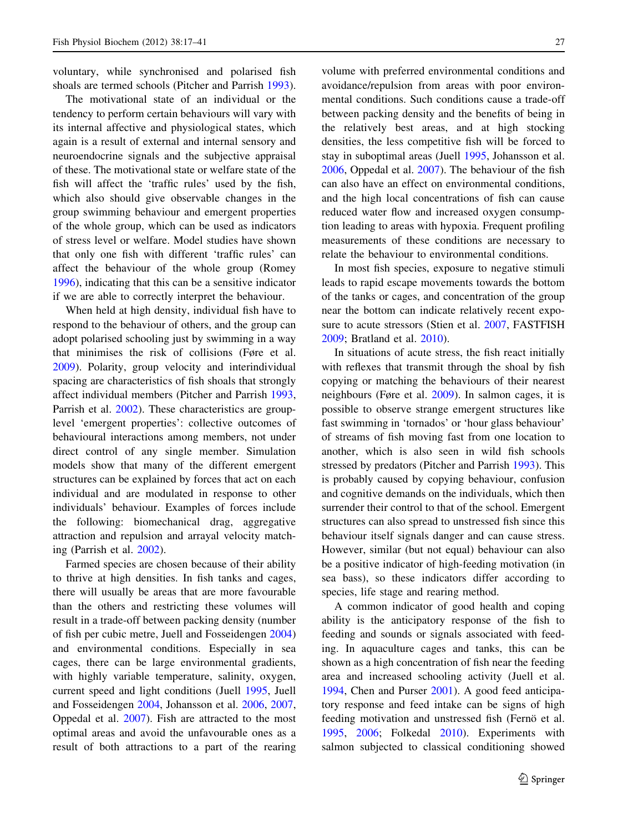voluntary, while synchronised and polarised fish shoals are termed schools (Pitcher and Parrish [1993](#page-22-0)).

The motivational state of an individual or the tendency to perform certain behaviours will vary with its internal affective and physiological states, which again is a result of external and internal sensory and neuroendocrine signals and the subjective appraisal of these. The motivational state or welfare state of the fish will affect the 'traffic rules' used by the fish, which also should give observable changes in the group swimming behaviour and emergent properties of the whole group, which can be used as indicators of stress level or welfare. Model studies have shown that only one fish with different 'traffic rules' can affect the behaviour of the whole group (Romey [1996\)](#page-22-0), indicating that this can be a sensitive indicator if we are able to correctly interpret the behaviour.

When held at high density, individual fish have to respond to the behaviour of others, and the group can adopt polarised schooling just by swimming in a way that minimises the risk of collisions (Føre et al. [2009\)](#page-19-0). Polarity, group velocity and interindividual spacing are characteristics of fish shoals that strongly affect individual members (Pitcher and Parrish [1993,](#page-22-0) Parrish et al. [2002](#page-22-0)). These characteristics are grouplevel 'emergent properties': collective outcomes of behavioural interactions among members, not under direct control of any single member. Simulation models show that many of the different emergent structures can be explained by forces that act on each individual and are modulated in response to other individuals' behaviour. Examples of forces include the following: biomechanical drag, aggregative attraction and repulsion and arrayal velocity matching (Parrish et al. [2002](#page-22-0)).

Farmed species are chosen because of their ability to thrive at high densities. In fish tanks and cages, there will usually be areas that are more favourable than the others and restricting these volumes will result in a trade-off between packing density (number of fish per cubic metre, Juell and Fosseidengen [2004\)](#page-20-0) and environmental conditions. Especially in sea cages, there can be large environmental gradients, with highly variable temperature, salinity, oxygen, current speed and light conditions (Juell [1995](#page-20-0), Juell and Fosseidengen [2004,](#page-20-0) Johansson et al. [2006](#page-20-0), [2007,](#page-20-0) Oppedal et al. [2007](#page-21-0)). Fish are attracted to the most optimal areas and avoid the unfavourable ones as a result of both attractions to a part of the rearing volume with preferred environmental conditions and avoidance/repulsion from areas with poor environmental conditions. Such conditions cause a trade-off between packing density and the benefits of being in the relatively best areas, and at high stocking densities, the less competitive fish will be forced to stay in suboptimal areas (Juell [1995,](#page-20-0) Johansson et al. [2006,](#page-20-0) Oppedal et al. [2007\)](#page-21-0). The behaviour of the fish can also have an effect on environmental conditions, and the high local concentrations of fish can cause reduced water flow and increased oxygen consumption leading to areas with hypoxia. Frequent profiling measurements of these conditions are necessary to relate the behaviour to environmental conditions.

In most fish species, exposure to negative stimuli leads to rapid escape movements towards the bottom of the tanks or cages, and concentration of the group near the bottom can indicate relatively recent exposure to acute stressors (Stien et al. [2007,](#page-23-0) FASTFISH [2009;](#page-19-0) Bratland et al. [2010](#page-18-0)).

In situations of acute stress, the fish react initially with reflexes that transmit through the shoal by fish copying or matching the behaviours of their nearest neighbours (Føre et al. [2009](#page-19-0)). In salmon cages, it is possible to observe strange emergent structures like fast swimming in 'tornados' or 'hour glass behaviour' of streams of fish moving fast from one location to another, which is also seen in wild fish schools stressed by predators (Pitcher and Parrish [1993](#page-22-0)). This is probably caused by copying behaviour, confusion and cognitive demands on the individuals, which then surrender their control to that of the school. Emergent structures can also spread to unstressed fish since this behaviour itself signals danger and can cause stress. However, similar (but not equal) behaviour can also be a positive indicator of high-feeding motivation (in sea bass), so these indicators differ according to species, life stage and rearing method.

A common indicator of good health and coping ability is the anticipatory response of the fish to feeding and sounds or signals associated with feeding. In aquaculture cages and tanks, this can be shown as a high concentration of fish near the feeding area and increased schooling activity (Juell et al. [1994,](#page-20-0) Chen and Purser [2001\)](#page-18-0). A good feed anticipatory response and feed intake can be signs of high feeding motivation and unstressed fish (Fernö et al. [1995,](#page-19-0) [2006;](#page-19-0) Folkedal [2010\)](#page-19-0). Experiments with salmon subjected to classical conditioning showed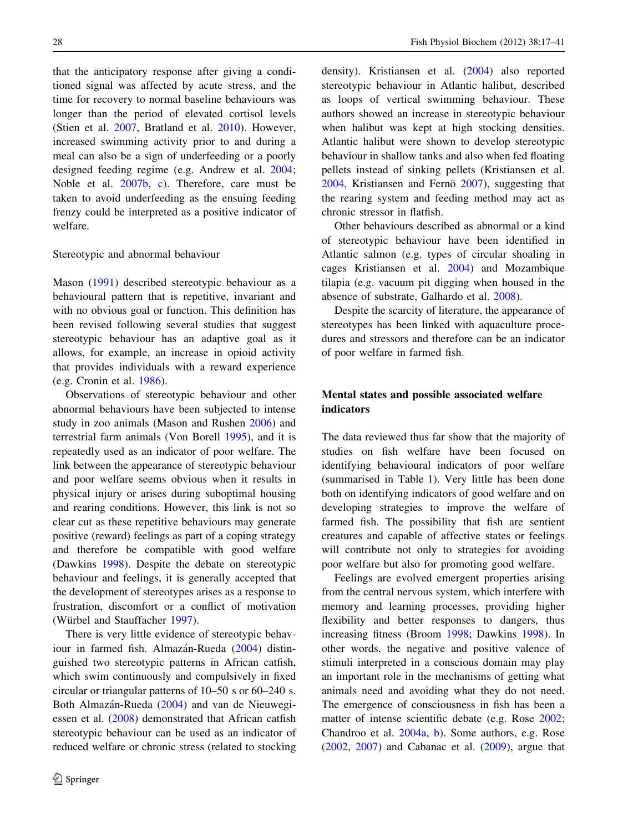that the anticipatory response after giving a conditioned signal was affected by acute stress, and the time for recovery to normal baseline behaviours was longer than the period of elevated cortisol levels (Stien et al. [2007](#page-23-0), Bratland et al. [2010\)](#page-18-0). However, increased swimming activity prior to and during a meal can also be a sign of underfeeding or a poorly designed feeding regime (e.g. Andrew et al. [2004](#page-17-0); Noble et al. [2007b](#page-21-0), [c](#page-21-0)). Therefore, care must be taken to avoid underfeeding as the ensuing feeding frenzy could be interpreted as a positive indicator of welfare.

#### Stereotypic and abnormal behaviour

Mason ([1991\)](#page-21-0) described stereotypic behaviour as a behavioural pattern that is repetitive, invariant and with no obvious goal or function. This definition has been revised following several studies that suggest stereotypic behaviour has an adaptive goal as it allows, for example, an increase in opioid activity that provides individuals with a reward experience (e.g. Cronin et al. [1986\)](#page-18-0).

Observations of stereotypic behaviour and other abnormal behaviours have been subjected to intense study in zoo animals (Mason and Rushen [2006\)](#page-21-0) and terrestrial farm animals (Von Borell [1995\)](#page-23-0), and it is repeatedly used as an indicator of poor welfare. The link between the appearance of stereotypic behaviour and poor welfare seems obvious when it results in physical injury or arises during suboptimal housing and rearing conditions. However, this link is not so clear cut as these repetitive behaviours may generate positive (reward) feelings as part of a coping strategy and therefore be compatible with good welfare (Dawkins [1998](#page-19-0)). Despite the debate on stereotypic behaviour and feelings, it is generally accepted that the development of stereotypes arises as a response to frustration, discomfort or a conflict of motivation (Würbel and Stauffacher [1997\)](#page-24-0).

There is very little evidence of stereotypic behav-iour in farmed fish. Almazán-Rueda ([2004](#page-17-0)) distinguished two stereotypic patterns in African catfish, which swim continuously and compulsively in fixed circular or triangular patterns of 10–50 s or 60–240 s. Both Almazán-Rueda ([2004](#page-17-0)) and van de Nieuwegiessen et al. [\(2008](#page-23-0)) demonstrated that African catfish stereotypic behaviour can be used as an indicator of reduced welfare or chronic stress (related to stocking

density). Kristiansen et al. ([2004](#page-20-0)) also reported stereotypic behaviour in Atlantic halibut, described as loops of vertical swimming behaviour. These authors showed an increase in stereotypic behaviour when halibut was kept at high stocking densities. Atlantic halibut were shown to develop stereotypic behaviour in shallow tanks and also when fed floating pellets instead of sinking pellets (Kristiansen et al. [2004,](#page-20-0) Kristiansen and Fernö [2007\)](#page-20-0), suggesting that the rearing system and feeding method may act as chronic stressor in flatfish.

Other behaviours described as abnormal or a kind of stereotypic behaviour have been identified in Atlantic salmon (e.g. types of circular shoaling in cages Kristiansen et al. [2004](#page-20-0)) and Mozambique tilapia (e.g. vacuum pit digging when housed in the absence of substrate, Galhardo et al. [2008](#page-19-0)).

Despite the scarcity of literature, the appearance of stereotypes has been linked with aquaculture procedures and stressors and therefore can be an indicator of poor welfare in farmed fish.

# Mental states and possible associated welfare indicators

The data reviewed thus far show that the majority of studies on fish welfare have been focused on identifying behavioural indicators of poor welfare (summarised in Table [1\)](#page-12-0). Very little has been done both on identifying indicators of good welfare and on developing strategies to improve the welfare of farmed fish. The possibility that fish are sentient creatures and capable of affective states or feelings will contribute not only to strategies for avoiding poor welfare but also for promoting good welfare.

Feelings are evolved emergent properties arising from the central nervous system, which interfere with memory and learning processes, providing higher flexibility and better responses to dangers, thus increasing fitness (Broom [1998](#page-18-0); Dawkins [1998\)](#page-19-0). In other words, the negative and positive valence of stimuli interpreted in a conscious domain may play an important role in the mechanisms of getting what animals need and avoiding what they do not need. The emergence of consciousness in fish has been a matter of intense scientific debate (e.g. Rose [2002](#page-22-0); Chandroo et al. [2004a,](#page-18-0) [b](#page-18-0)). Some authors, e.g. Rose [\(2002](#page-22-0), [2007\)](#page-22-0) and Cabanac et al. ([2009\)](#page-18-0), argue that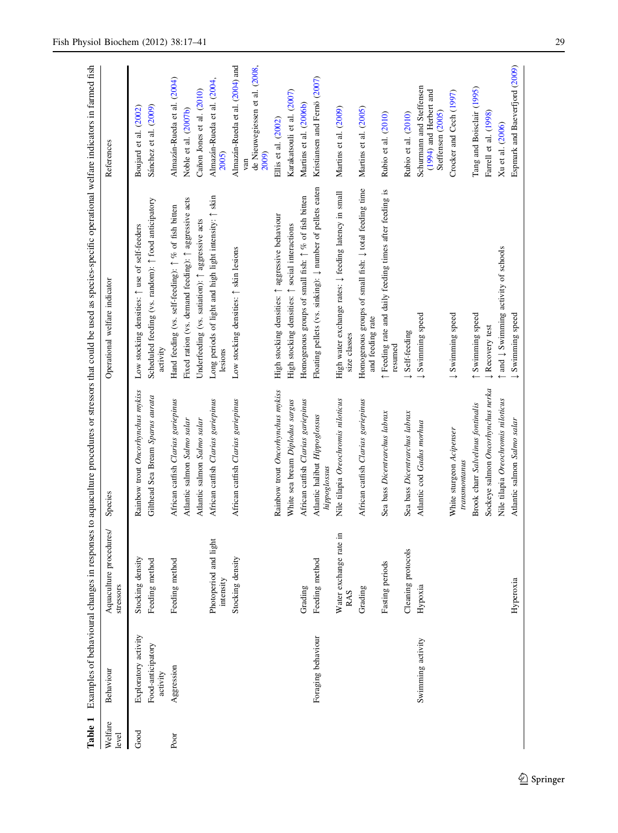<span id="page-12-0"></span>

| Table 1          |                                                       |                                         |                                                                                                  | Examples of behavioural changes in responses to aquaculture procedures or stressors that could be used as species-specific operational welfare indicators in farmed fish                   |                                                                                   |
|------------------|-------------------------------------------------------|-----------------------------------------|--------------------------------------------------------------------------------------------------|--------------------------------------------------------------------------------------------------------------------------------------------------------------------------------------------|-----------------------------------------------------------------------------------|
| Welfare<br>level | Behaviour                                             | procedures/<br>Aquaculture<br>stressors | Species                                                                                          | Operational welfare indicator                                                                                                                                                              | References                                                                        |
| Good             | Exploratory activity<br>Food-anticipatory<br>activity | Stocking density<br>Feeding method      | Rainbow trout Oncorhynchus mykiss<br>Gilthead Sea Bream Sparus aurata                            | Scheduled feeding (vs. random): $\uparrow$ food anticipatory<br>Low stocking densities: $\uparrow$ use of self-feeders<br>activity                                                         | Sánchez et al. (2009)<br>Boujard et al. (2002)                                    |
| Poor             | Aggression                                            | Feeding method                          | African catfish Clarias gariepinus<br>Atlantic salmon Salmo salar<br>Atlantic salmon Salmo salar | Fixed ration (vs. demand feeding): $\uparrow$ aggressive acts<br>Hand feeding (vs. self-feeding): $\uparrow \%$ of fish bitten<br>Underfeeding (vs. satiation): $\uparrow$ aggressive acts | Almazán-Rueda et al. (2004)<br>Cañon Jones et al. (2010)<br>Noble et al. (2007b)  |
|                  |                                                       | and light<br>Photoperiod<br>intensity   | African catfish Clarias gariepinus                                                               | Long periods of light and high light intensity: 1 skin<br>lesions                                                                                                                          | Almazán-Rueda et al. (2004,<br>2005)                                              |
|                  |                                                       | Stocking density                        | African catfish Clarias gariepinus                                                               | Low stocking densities: $\uparrow$ skin lesions                                                                                                                                            | Almazán-Rueda et al. (2004) and<br>de Nieuwegiessen et al. (2008,<br>2009)<br>van |
|                  |                                                       |                                         | Rainbow trout Oncorhynchus mykiss                                                                | High stocking densities: $\uparrow$ aggressive behaviour                                                                                                                                   | Ellis et al. (2002)                                                               |
|                  |                                                       |                                         | White sea bream Diplodus sargus                                                                  | High stocking densities: $\uparrow$ social interactions                                                                                                                                    | Karakatsouli et al. (2007)                                                        |
|                  |                                                       | Grading                                 | African catfish Clarias gariepinus                                                               | Homogenous groups of small fish: $\uparrow \%$ of fish bitten                                                                                                                              | Martins et al. (2006b)                                                            |
|                  | Foraging behaviour                                    | Feeding method                          | Atlantic halibut Hippoglossus<br>hippoglossus                                                    | Floating pellets (vs. sinking): $\downarrow$ number of pellets eaten                                                                                                                       | Kristiansen and Fernö (2007)                                                      |
|                  |                                                       | Water exchange rate in<br><b>RAS</b>    | Nile tilapia Oreochromis niloticus                                                               | High water exchange rates: $\downarrow$ feeding latency in small<br>size classes                                                                                                           | Martins et al. (2009)                                                             |
|                  |                                                       | Grading                                 | African catfish Clarias gariepinus                                                               | Homogenous groups of small fish: $\downarrow$ total feeding time<br>and feeding rate                                                                                                       | Martins et al. (2005)                                                             |
|                  |                                                       | Fasting periods                         | Sea bass Dicentrarchus labrax                                                                    | ↑ Feeding rate and daily feeding times after feeding is<br>resumed                                                                                                                         | Rubio et al. (2010)                                                               |
|                  |                                                       | otocols<br>Cleaning pr                  | Sea bass Dicentrarchus labrax                                                                    | Self-feeding                                                                                                                                                                               | Rubio et al. (2010)                                                               |
|                  | Swimming activity                                     | Hypoxia                                 | Atlantic cod Gadus morhua                                                                        | <b>J</b> Swimming speed                                                                                                                                                                    | Schurmann and Steffensen<br>(1994) and Herbert and<br>Steffensen (2005)           |
|                  |                                                       |                                         | White sturgeon Acipenser<br>transmontanus                                                        | <b>J</b> Swimming speed                                                                                                                                                                    | Crocker and Cech (1997)                                                           |
|                  |                                                       |                                         | Brook charr Salvelinus fontinalis                                                                | Swimming speed                                                                                                                                                                             | Tang and Boisclair (1995)                                                         |
|                  |                                                       |                                         | Sockeye salmon Oncorhynchus nerka                                                                | <b>J</b> Recovery test                                                                                                                                                                     | Farrell et al. (1998)                                                             |
|                  |                                                       |                                         | Nile tilapia Oreochromis niloticus                                                               | and $\downarrow$ Swimming activity of schools                                                                                                                                              | Xu et al. (2006)                                                                  |
|                  |                                                       | Hyperoxia                               | Atlantic salmon Salmo salar                                                                      | <b>J</b> Swimming speed                                                                                                                                                                    | Espmark and Baeverfjord (2009)                                                    |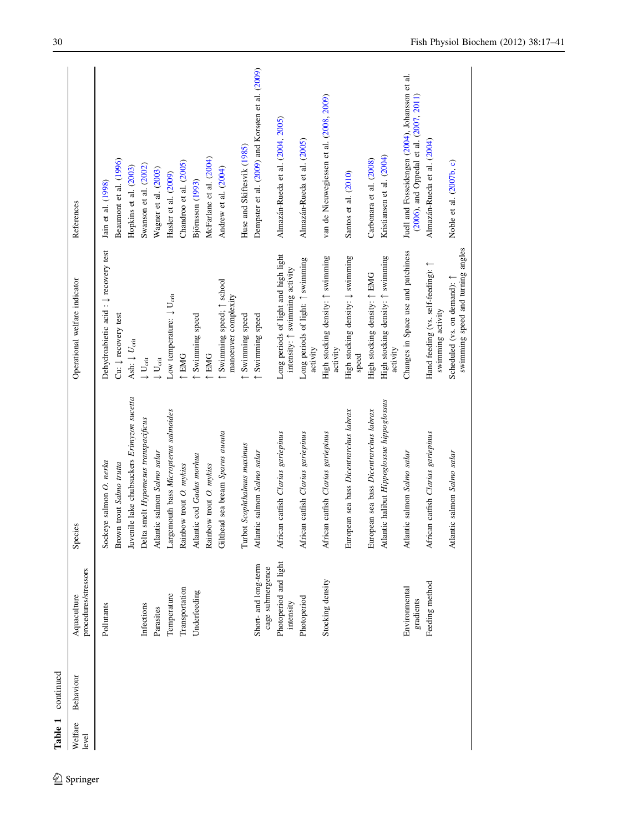| Table 1          | continued |                                          |                                            |                                                                                 |                                                                                            |
|------------------|-----------|------------------------------------------|--------------------------------------------|---------------------------------------------------------------------------------|--------------------------------------------------------------------------------------------|
| Welfare<br>level | Behaviour | procedures/stressors<br>Aquaculture      | Species                                    | Operational welfare indicator                                                   | References                                                                                 |
|                  |           | Pollutants                               | Sockeye salmon O. nerka                    | Dehydroabietic acid : $\downarrow$ recovery test                                | Jain et al. (1998)                                                                         |
|                  |           |                                          | Brown trout Salmo trutta                   | Cu: ↓ recovery test                                                             | Beaumont et al. (1996)                                                                     |
|                  |           |                                          | Juvenile lake chubsuckers Erimyzon sucetta | Ash: $\downarrow$ $U_{\rm crit}$                                                | Hopkins et al. (2003)                                                                      |
|                  |           | Infections                               | Delta smelt Hypomesus transpacificus       | $\downarrow$ $U_{\rm crit}$                                                     | Swanson et al. (2002)                                                                      |
|                  |           | Parasites                                | Atlantic salmon Salmo salar                | $\downarrow$ $\mathbf{U}_{\text{crit}}$                                         | Wagner et al. (2003)                                                                       |
|                  |           | Temperature                              | Largemouth bass Micropterus salmoides      | Low temperature: $\downarrow$ U <sub>crit</sub>                                 | Hasler et al. (2009)                                                                       |
|                  |           | Transportation                           | Rainbow trout O. mykiss                    | T EMG                                                                           | Chandroo et al. (2005)                                                                     |
|                  |           | Underfeeding                             | Atlantic cod Gadus morhua                  | Swimming speed                                                                  | Björnsson (1993)                                                                           |
|                  |           |                                          | Rainbow trout O. mykiss                    | T EMG                                                                           | McFarlane et al. (2004)                                                                    |
|                  |           |                                          | Gilthead sea bream Sparus aurata           | Swimming speed; $\uparrow$ school<br>manoeuver complexity                       | Andrew et al. (2004)                                                                       |
|                  |           |                                          | Turbot Scophthalmus maximus                | Swimming speed                                                                  | Huse and Skiftesvik (1985)                                                                 |
|                  |           | Short- and long-term<br>cage submergence | Atlantic salmon Salmo salar                | ↑ Swimming speed                                                                | Dempster et al. (2009) and Korsøen et al. (2009)                                           |
|                  |           | Photoperiod and light<br>intensity       | African catfish Clarias gariepinus         | Long periods of light and high light<br>intensity: $\uparrow$ swimming activity | Almazán-Rueda et al. (2004, 2005)                                                          |
|                  |           | Photoperiod                              | African catfish Clarias gariepinus         | Long periods of light: $\uparrow$ swimming<br>activity                          | Almazán-Rueda et al. (2005)                                                                |
|                  |           | Stocking density                         | African catfish Clarias gariepinus         | High stocking density: $\uparrow$ swimming<br>activity                          | van de Nieuwegiessen et al. (2008, 2009)                                                   |
|                  |           |                                          | European sea bass Dicentrarchus labrax     | High stocking density: $\downarrow$ swimming<br>speed                           | Santos et al. (2010)                                                                       |
|                  |           |                                          | European sea bass Dicentrarchus labrax     | High stocking density: 1 EMG                                                    | Carbonara et al. (2008)                                                                    |
|                  |           |                                          | Atlantic halibut Hippoglossus hippoglossus | High stocking density: $\uparrow$ swimming<br>activity                          | Kristiansen et al. (2004)                                                                  |
|                  |           | Environmental<br>gradients               | Atlantic salmon Salmo salar                | Changes in Space use and patchiness                                             | Juell and Fosseidengen (2004), Johansson et al.<br>(2006), and Oppedal et al. (2007, 2011) |
|                  |           | Feeding method                           | African catfish Clarias gariepinus         | Hand feeding (vs. self-feeding): $\uparrow$<br>swimming activity                | Almazán-Rueda et al. (2004)                                                                |
|                  |           |                                          | Atlantic salmon Salmo salar                | swimming speed and turning angles<br>Scheduled (vs. on demand): $\uparrow$      | Noble et al. (2007b, c)                                                                    |

 $\underline{\textcircled{\tiny 2}}$  Springer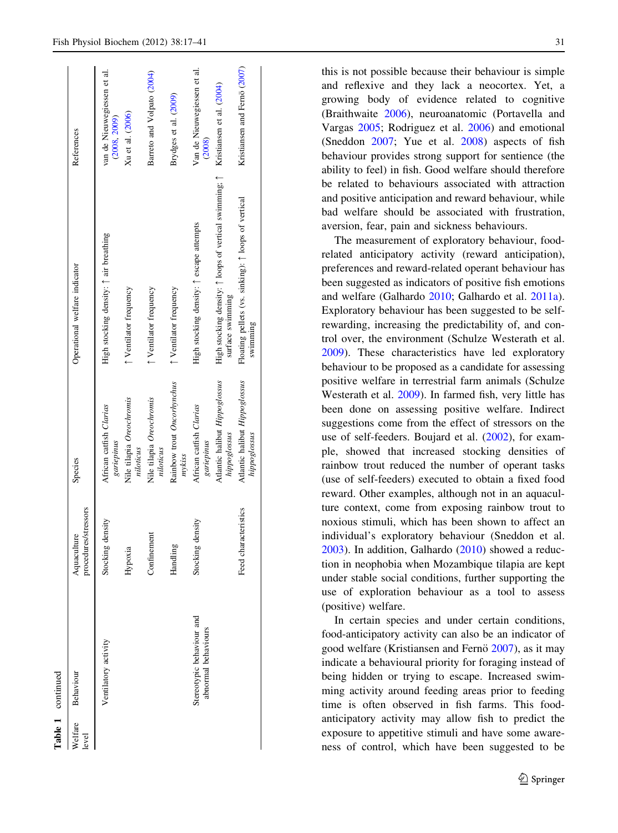|                  | Table 1 continued                                |                                     |                                               |                                                                            |                                             |
|------------------|--------------------------------------------------|-------------------------------------|-----------------------------------------------|----------------------------------------------------------------------------|---------------------------------------------|
| Welfare<br>level | Behaviour                                        | procedures/stressors<br>Aquaculture | Species                                       | Operational welfare indicator                                              | References                                  |
|                  | Ventilatory activity                             | Stocking density                    | African catfish Clarias<br>gariepinus         | High stocking density: $\uparrow$ air breathing                            | van de Nieuwegiessen et al.<br>(2008, 2009) |
|                  |                                                  | Нурохіа                             | Nile tilapia Oreochromis<br>niloticus         | ↑ Ventilator frequency                                                     | Xu et al. (2006)                            |
|                  |                                                  | Confinement                         | Nile tilapia Oreochromis<br>niloticus         | t Ventilator frequency                                                     | Barreto and Volpato (2004)                  |
|                  |                                                  | Handling                            | Rainbow trout Oncorhynchus<br>mykiss          | † Ventilator frequency                                                     | Brydges et al. (2009)                       |
|                  | Stereotypic behaviour and<br>abnormal behaviours | Stocking density                    | African catfish Clarias<br>gariepinus         | High stocking density: $\uparrow$ escape attempts                          | Van de Nieuwegiessen et al.<br>(2008)       |
|                  |                                                  |                                     | Atlantic halibut Hippoglossus<br>hippoglossus | High stocking density: 1 loops of vertical swimming; 1<br>surface swimming | Kristiansen et al. (2004)                   |
|                  |                                                  | Feed characteristics                | Atlantic halibut Hippoglossus<br>hippoglossus | Floating pellets (vs. sinking): 1 loops of vertical<br>swimming            | Kristiansen and Fernö (2007)                |
|                  |                                                  |                                     |                                               |                                                                            |                                             |

this is not possible because their behaviour is simple and reflexive and they lack a neocortex. Yet, a growing body of evidence related to cognitive (Braithwaite [2006](#page-18-0)), neuroanatomic (Portavella and Vargas [2005](#page-22-0); Rodriguez et al. [2006](#page-22-0)) and emotional (Sneddon [2007;](#page-23-0) Yue et al. [2008](#page-24-0)) aspects of fish behaviour provides strong support for sentience (the ability to feel) in fish. Good welfare should therefore be related to behaviours associated with attraction and positive anticipation and reward behaviour, while bad welfare should be associated with frustration, aversion, fear, pain and sickness behaviours.

The measurement of exploratory behaviour, foodrelated anticipatory activity (reward anticipation), preferences and reward-related operant behaviour has been suggested as indicators of positive fish emotions and welfare (Galhardo [2010;](#page-19-0) Galhardo et al. [2011a](#page-19-0)). Exploratory behaviour has been suggested to be selfrewarding, increasing the predictability of, and control over, the environment (Schulze Westerath et al. [2009\)](#page-22-0). These characteristics have led exploratory behaviour to be proposed as a candidate for assessing positive welfare in terrestrial farm animals (Schulze Westerath et al. [2009](#page-22-0)). In farmed fish, very little has been done on assessing positive welfare. Indirect suggestions come from the effect of stressors on the use of self-feeders. Boujard et al. [\(2002](#page-18-0)), for example, showed that increased stocking densities of rainbow trout reduced the number of operant tasks (use of self-feeders) executed to obtain a fixed food reward. Other examples, although not in an aquaculture context, come from exposing rainbow trout to noxious stimuli, which has been shown to affect an individual's exploratory behaviour (Sneddon et al. [2003\)](#page-23-0). In addition, Galhardo [\(2010](#page-19-0)) showed a reduction in neophobia when Mozambique tilapia are kept under stable social conditions, further supporting the use of exploration behaviour as a tool to assess (positive) welfare.

In certain species and under certain conditions, food-anticipatory activity can also be an indicator of good welfare (Kristiansen and Fernö [2007](#page-20-0)), as it may indicate a behavioural priority for foraging instead of being hidden or trying to escape. Increased swimming activity around feeding areas prior to feeding time is often observed in fish farms. This foodanticipatory activity may allow fish to predict the exposure to appetitive stimuli and have some awareness of control, which have been suggested to be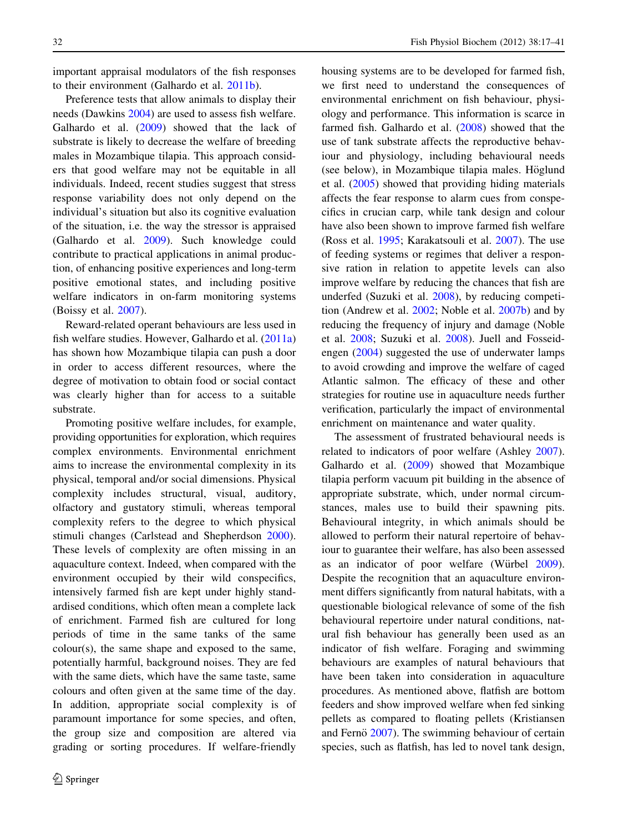important appraisal modulators of the fish responses to their environment (Galhardo et al. [2011b](#page-19-0)).

Preference tests that allow animals to display their needs (Dawkins [2004\)](#page-19-0) are used to assess fish welfare. Galhardo et al. ([2009\)](#page-19-0) showed that the lack of substrate is likely to decrease the welfare of breeding males in Mozambique tilapia. This approach considers that good welfare may not be equitable in all individuals. Indeed, recent studies suggest that stress response variability does not only depend on the individual's situation but also its cognitive evaluation of the situation, i.e. the way the stressor is appraised (Galhardo et al. [2009](#page-19-0)). Such knowledge could contribute to practical applications in animal production, of enhancing positive experiences and long-term positive emotional states, and including positive welfare indicators in on-farm monitoring systems (Boissy et al. [2007](#page-18-0)).

Reward-related operant behaviours are less used in fish welfare studies. However, Galhardo et al. [\(2011a\)](#page-19-0) has shown how Mozambique tilapia can push a door in order to access different resources, where the degree of motivation to obtain food or social contact was clearly higher than for access to a suitable substrate.

Promoting positive welfare includes, for example, providing opportunities for exploration, which requires complex environments. Environmental enrichment aims to increase the environmental complexity in its physical, temporal and/or social dimensions. Physical complexity includes structural, visual, auditory, olfactory and gustatory stimuli, whereas temporal complexity refers to the degree to which physical stimuli changes (Carlstead and Shepherdson [2000](#page-18-0)). These levels of complexity are often missing in an aquaculture context. Indeed, when compared with the environment occupied by their wild conspecifics, intensively farmed fish are kept under highly standardised conditions, which often mean a complete lack of enrichment. Farmed fish are cultured for long periods of time in the same tanks of the same colour(s), the same shape and exposed to the same, potentially harmful, background noises. They are fed with the same diets, which have the same taste, same colours and often given at the same time of the day. In addition, appropriate social complexity is of paramount importance for some species, and often, the group size and composition are altered via grading or sorting procedures. If welfare-friendly

housing systems are to be developed for farmed fish, we first need to understand the consequences of environmental enrichment on fish behaviour, physiology and performance. This information is scarce in farmed fish. Galhardo et al. [\(2008](#page-19-0)) showed that the use of tank substrate affects the reproductive behaviour and physiology, including behavioural needs (see below), in Mozambique tilapia males. Höglund et al. [\(2005](#page-20-0)) showed that providing hiding materials affects the fear response to alarm cues from conspecifics in crucian carp, while tank design and colour have also been shown to improve farmed fish welfare (Ross et al. [1995;](#page-22-0) Karakatsouli et al. [2007\)](#page-20-0). The use of feeding systems or regimes that deliver a responsive ration in relation to appetite levels can also improve welfare by reducing the chances that fish are underfed (Suzuki et al. [2008\)](#page-23-0), by reducing competition (Andrew et al. [2002](#page-17-0); Noble et al. [2007b](#page-21-0)) and by reducing the frequency of injury and damage (Noble et al. [2008](#page-21-0); Suzuki et al. [2008\)](#page-23-0). Juell and Fosseidengen [\(2004](#page-20-0)) suggested the use of underwater lamps to avoid crowding and improve the welfare of caged Atlantic salmon. The efficacy of these and other strategies for routine use in aquaculture needs further verification, particularly the impact of environmental enrichment on maintenance and water quality.

The assessment of frustrated behavioural needs is related to indicators of poor welfare (Ashley [2007](#page-17-0)). Galhardo et al. ([2009\)](#page-19-0) showed that Mozambique tilapia perform vacuum pit building in the absence of appropriate substrate, which, under normal circumstances, males use to build their spawning pits. Behavioural integrity, in which animals should be allowed to perform their natural repertoire of behaviour to guarantee their welfare, has also been assessed as an indicator of poor welfare (Würbel [2009](#page-24-0)). Despite the recognition that an aquaculture environment differs significantly from natural habitats, with a questionable biological relevance of some of the fish behavioural repertoire under natural conditions, natural fish behaviour has generally been used as an indicator of fish welfare. Foraging and swimming behaviours are examples of natural behaviours that have been taken into consideration in aquaculture procedures. As mentioned above, flatfish are bottom feeders and show improved welfare when fed sinking pellets as compared to floating pellets (Kristiansen and Fernö  $2007$ ). The swimming behaviour of certain species, such as flatfish, has led to novel tank design,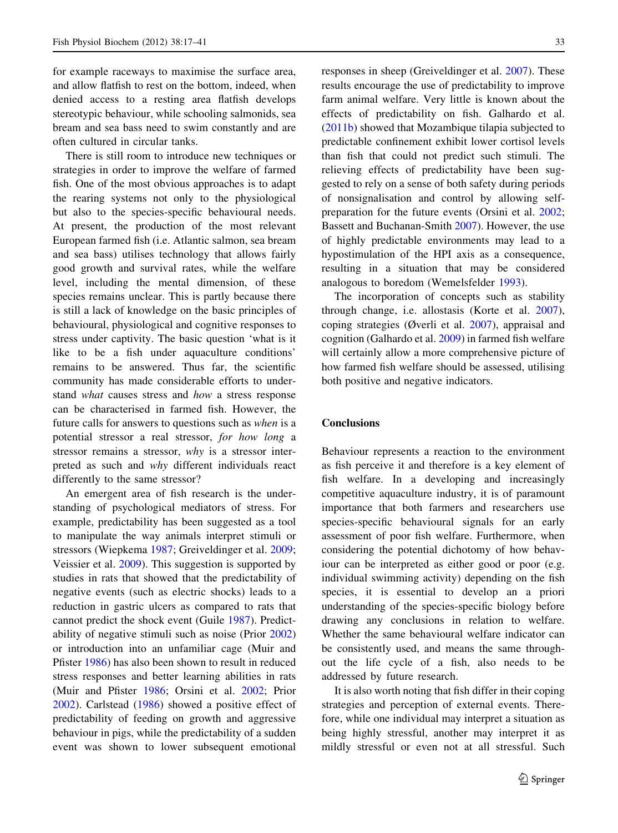for example raceways to maximise the surface area, and allow flatfish to rest on the bottom, indeed, when denied access to a resting area flatfish develops stereotypic behaviour, while schooling salmonids, sea bream and sea bass need to swim constantly and are often cultured in circular tanks.

There is still room to introduce new techniques or strategies in order to improve the welfare of farmed fish. One of the most obvious approaches is to adapt the rearing systems not only to the physiological but also to the species-specific behavioural needs. At present, the production of the most relevant European farmed fish (i.e. Atlantic salmon, sea bream and sea bass) utilises technology that allows fairly good growth and survival rates, while the welfare level, including the mental dimension, of these species remains unclear. This is partly because there is still a lack of knowledge on the basic principles of behavioural, physiological and cognitive responses to stress under captivity. The basic question 'what is it like to be a fish under aquaculture conditions' remains to be answered. Thus far, the scientific community has made considerable efforts to understand what causes stress and how a stress response can be characterised in farmed fish. However, the future calls for answers to questions such as when is a potential stressor a real stressor, for how long a stressor remains a stressor, why is a stressor interpreted as such and why different individuals react differently to the same stressor?

An emergent area of fish research is the understanding of psychological mediators of stress. For example, predictability has been suggested as a tool to manipulate the way animals interpret stimuli or stressors (Wiepkema [1987](#page-23-0); Greiveldinger et al. [2009](#page-19-0); Veissier et al. [2009](#page-23-0)). This suggestion is supported by studies in rats that showed that the predictability of negative events (such as electric shocks) leads to a reduction in gastric ulcers as compared to rats that cannot predict the shock event (Guile [1987\)](#page-19-0). Predictability of negative stimuli such as noise (Prior [2002\)](#page-22-0) or introduction into an unfamiliar cage (Muir and Pfister [1986\)](#page-21-0) has also been shown to result in reduced stress responses and better learning abilities in rats (Muir and Pfister [1986;](#page-21-0) Orsini et al. [2002;](#page-21-0) Prior [2002\)](#page-22-0). Carlstead ([1986\)](#page-18-0) showed a positive effect of predictability of feeding on growth and aggressive behaviour in pigs, while the predictability of a sudden event was shown to lower subsequent emotional

responses in sheep (Greiveldinger et al. [2007\)](#page-19-0). These results encourage the use of predictability to improve farm animal welfare. Very little is known about the effects of predictability on fish. Galhardo et al. [\(2011b](#page-19-0)) showed that Mozambique tilapia subjected to predictable confinement exhibit lower cortisol levels than fish that could not predict such stimuli. The relieving effects of predictability have been suggested to rely on a sense of both safety during periods of nonsignalisation and control by allowing selfpreparation for the future events (Orsini et al. [2002](#page-21-0); Bassett and Buchanan-Smith [2007\)](#page-18-0). However, the use of highly predictable environments may lead to a hypostimulation of the HPI axis as a consequence, resulting in a situation that may be considered analogous to boredom (Wemelsfelder [1993\)](#page-23-0).

The incorporation of concepts such as stability through change, i.e. allostasis (Korte et al. [2007](#page-20-0)), coping strategies (Øverli et al. [2007\)](#page-22-0), appraisal and cognition (Galhardo et al. [2009](#page-19-0)) in farmed fish welfare will certainly allow a more comprehensive picture of how farmed fish welfare should be assessed, utilising both positive and negative indicators.

# **Conclusions**

Behaviour represents a reaction to the environment as fish perceive it and therefore is a key element of fish welfare. In a developing and increasingly competitive aquaculture industry, it is of paramount importance that both farmers and researchers use species-specific behavioural signals for an early assessment of poor fish welfare. Furthermore, when considering the potential dichotomy of how behaviour can be interpreted as either good or poor (e.g. individual swimming activity) depending on the fish species, it is essential to develop an a priori understanding of the species-specific biology before drawing any conclusions in relation to welfare. Whether the same behavioural welfare indicator can be consistently used, and means the same throughout the life cycle of a fish, also needs to be addressed by future research.

It is also worth noting that fish differ in their coping strategies and perception of external events. Therefore, while one individual may interpret a situation as being highly stressful, another may interpret it as mildly stressful or even not at all stressful. Such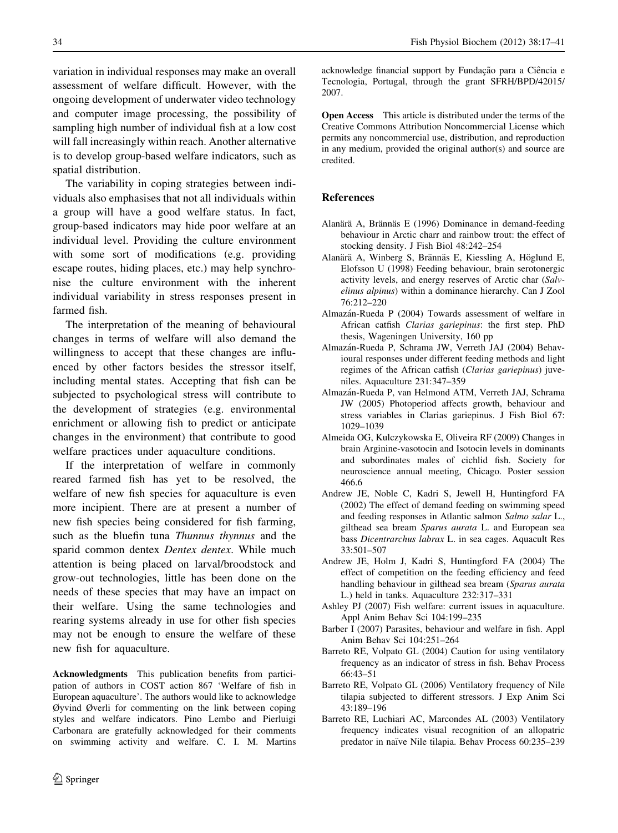<span id="page-17-0"></span>variation in individual responses may make an overall assessment of welfare difficult. However, with the ongoing development of underwater video technology and computer image processing, the possibility of sampling high number of individual fish at a low cost will fall increasingly within reach. Another alternative is to develop group-based welfare indicators, such as spatial distribution.

The variability in coping strategies between individuals also emphasises that not all individuals within a group will have a good welfare status. In fact, group-based indicators may hide poor welfare at an individual level. Providing the culture environment with some sort of modifications (e.g. providing escape routes, hiding places, etc.) may help synchronise the culture environment with the inherent individual variability in stress responses present in farmed fish.

The interpretation of the meaning of behavioural changes in terms of welfare will also demand the willingness to accept that these changes are influenced by other factors besides the stressor itself, including mental states. Accepting that fish can be subjected to psychological stress will contribute to the development of strategies (e.g. environmental enrichment or allowing fish to predict or anticipate changes in the environment) that contribute to good welfare practices under aquaculture conditions.

If the interpretation of welfare in commonly reared farmed fish has yet to be resolved, the welfare of new fish species for aquaculture is even more incipient. There are at present a number of new fish species being considered for fish farming, such as the bluefin tuna Thunnus thynnus and the sparid common dentex Dentex dentex. While much attention is being placed on larval/broodstock and grow-out technologies, little has been done on the needs of these species that may have an impact on their welfare. Using the same technologies and rearing systems already in use for other fish species may not be enough to ensure the welfare of these new fish for aquaculture.

Acknowledgments This publication benefits from participation of authors in COST action 867 'Welfare of fish in European aquaculture'. The authors would like to acknowledge Øyvind Øverli for commenting on the link between coping styles and welfare indicators. Pino Lembo and Pierluigi Carbonara are gratefully acknowledged for their comments on swimming activity and welfare. C. I. M. Martins acknowledge financial support by Fundação para a Ciência e Tecnologia, Portugal, through the grant SFRH/BPD/42015/ 2007.

Open Access This article is distributed under the terms of the Creative Commons Attribution Noncommercial License which permits any noncommercial use, distribution, and reproduction in any medium, provided the original author(s) and source are credited.

## References

- Alanärä A, Brännäs E (1996) Dominance in demand-feeding behaviour in Arctic charr and rainbow trout: the effect of stocking density. J Fish Biol 48:242–254
- Alanärä A, Winberg S, Brännäs E, Kiessling A, Höglund E, Elofsson U (1998) Feeding behaviour, brain serotonergic activity levels, and energy reserves of Arctic char (Salvelinus alpinus) within a dominance hierarchy. Can J Zool 76:212–220
- Almazán-Rueda P (2004) Towards assessment of welfare in African catfish Clarias gariepinus: the first step. PhD thesis, Wageningen University, 160 pp
- Almazán-Rueda P, Schrama JW, Verreth JAJ (2004) Behavioural responses under different feeding methods and light regimes of the African catfish (Clarias gariepinus) juveniles. Aquaculture 231:347–359
- Almazán-Rueda P, van Helmond ATM, Verreth JAJ, Schrama JW (2005) Photoperiod affects growth, behaviour and stress variables in Clarias gariepinus. J Fish Biol 67: 1029–1039
- Almeida OG, Kulczykowska E, Oliveira RF (2009) Changes in brain Arginine-vasotocin and Isotocin levels in dominants and subordinates males of cichlid fish. Society for neuroscience annual meeting, Chicago. Poster session 466.6
- Andrew JE, Noble C, Kadri S, Jewell H, Huntingford FA (2002) The effect of demand feeding on swimming speed and feeding responses in Atlantic salmon Salmo salar L., gilthead sea bream Sparus aurata L. and European sea bass Dicentrarchus labrax L. in sea cages. Aquacult Res 33:501–507
- Andrew JE, Holm J, Kadri S, Huntingford FA (2004) The effect of competition on the feeding efficiency and feed handling behaviour in gilthead sea bream (Sparus aurata L.) held in tanks. Aquaculture 232:317–331
- Ashley PJ (2007) Fish welfare: current issues in aquaculture. Appl Anim Behav Sci 104:199–235
- Barber I (2007) Parasites, behaviour and welfare in fish. Appl Anim Behav Sci 104:251–264
- Barreto RE, Volpato GL (2004) Caution for using ventilatory frequency as an indicator of stress in fish. Behav Process 66:43–51
- Barreto RE, Volpato GL (2006) Ventilatory frequency of Nile tilapia subjected to different stressors. J Exp Anim Sci 43:189–196
- Barreto RE, Luchiari AC, Marcondes AL (2003) Ventilatory frequency indicates visual recognition of an allopatric predator in naïve Nile tilapia. Behav Process 60:235-239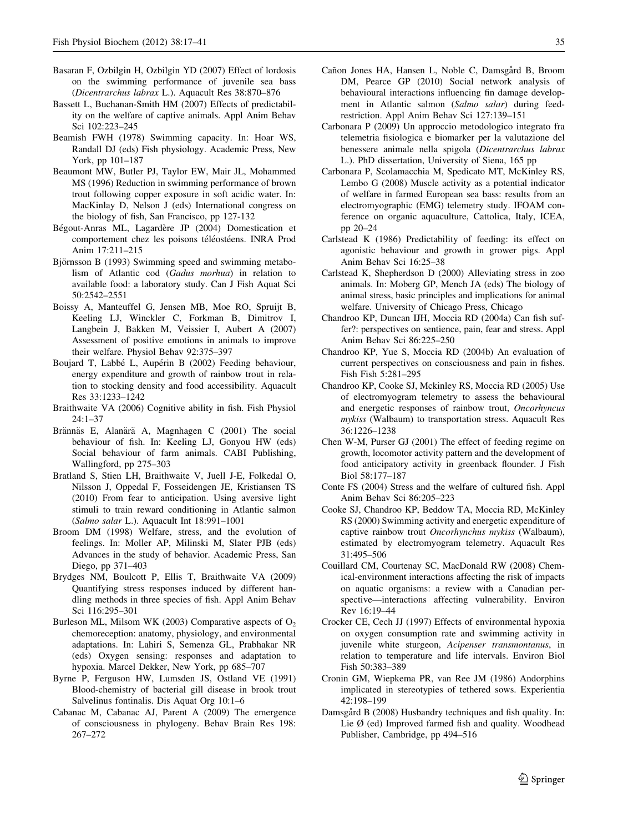- <span id="page-18-0"></span>Basaran F, Ozbilgin H, Ozbilgin YD (2007) Effect of lordosis on the swimming performance of juvenile sea bass (Dicentrarchus labrax L.). Aquacult Res 38:870–876
- Bassett L, Buchanan-Smith HM (2007) Effects of predictability on the welfare of captive animals. Appl Anim Behav Sci 102:223–245
- Beamish FWH (1978) Swimming capacity. In: Hoar WS, Randall DJ (eds) Fish physiology. Academic Press, New York, pp 101–187
- Beaumont MW, Butler PJ, Taylor EW, Mair JL, Mohammed MS (1996) Reduction in swimming performance of brown trout following copper exposure in soft acidic water. In: MacKinlay D, Nelson J (eds) International congress on the biology of fish, San Francisco, pp 127-132
- Bégout-Anras ML, Lagardère JP (2004) Domestication et comportement chez les poisons téléostéens. INRA Prod Anim 17:211–215
- Björnsson B (1993) Swimming speed and swimming metabolism of Atlantic cod (Gadus morhua) in relation to available food: a laboratory study. Can J Fish Aquat Sci 50:2542–2551
- Boissy A, Manteuffel G, Jensen MB, Moe RO, Spruijt B, Keeling LJ, Winckler C, Forkman B, Dimitrov I, Langbein J, Bakken M, Veissier I, Aubert A (2007) Assessment of positive emotions in animals to improve their welfare. Physiol Behav 92:375–397
- Boujard T, Labbé L, Aupérin B (2002) Feeding behaviour, energy expenditure and growth of rainbow trout in relation to stocking density and food accessibility. Aquacult Res 33:1233–1242
- Braithwaite VA (2006) Cognitive ability in fish. Fish Physiol 24:1–37
- Brännäs E, Alanärä A, Magnhagen C (2001) The social behaviour of fish. In: Keeling LJ, Gonyou HW (eds) Social behaviour of farm animals. CABI Publishing, Wallingford, pp 275–303
- Bratland S, Stien LH, Braithwaite V, Juell J-E, Folkedal O, Nilsson J, Oppedal F, Fosseidengen JE, Kristiansen TS (2010) From fear to anticipation. Using aversive light stimuli to train reward conditioning in Atlantic salmon (Salmo salar L.). Aquacult Int 18:991–1001
- Broom DM (1998) Welfare, stress, and the evolution of feelings. In: Moller AP, Milinski M, Slater PJB (eds) Advances in the study of behavior. Academic Press, San Diego, pp 371–403
- Brydges NM, Boulcott P, Ellis T, Braithwaite VA (2009) Quantifying stress responses induced by different handling methods in three species of fish. Appl Anim Behav Sci 116:295–301
- Burleson ML, Milsom WK (2003) Comparative aspects of  $O<sub>2</sub>$ chemoreception: anatomy, physiology, and environmental adaptations. In: Lahiri S, Semenza GL, Prabhakar NR (eds) Oxygen sensing: responses and adaptation to hypoxia. Marcel Dekker, New York, pp 685–707
- Byrne P, Ferguson HW, Lumsden JS, Ostland VE (1991) Blood-chemistry of bacterial gill disease in brook trout Salvelinus fontinalis. Dis Aquat Org 10:1–6
- Cabanac M, Cabanac AJ, Parent A (2009) The emergence of consciousness in phylogeny. Behav Brain Res 198: 267–272
- Cañon Jones HA, Hansen L, Noble C, Damsgård B, Broom DM, Pearce GP (2010) Social network analysis of behavioural interactions influencing fin damage development in Atlantic salmon (Salmo salar) during feedrestriction. Appl Anim Behav Sci 127:139–151
- Carbonara P (2009) Un approccio metodologico integrato fra telemetria fisiologica e biomarker per la valutazione del benessere animale nella spigola (Dicentrarchus labrax L.). PhD dissertation, University of Siena, 165 pp
- Carbonara P, Scolamacchia M, Spedicato MT, McKinley RS, Lembo G (2008) Muscle activity as a potential indicator of welfare in farmed European sea bass: results from an electromyographic (EMG) telemetry study. IFOAM conference on organic aquaculture, Cattolica, Italy, ICEA, pp 20–24
- Carlstead K (1986) Predictability of feeding: its effect on agonistic behaviour and growth in grower pigs. Appl Anim Behav Sci 16:25–38
- Carlstead K, Shepherdson D (2000) Alleviating stress in zoo animals. In: Moberg GP, Mench JA (eds) The biology of animal stress, basic principles and implications for animal welfare. University of Chicago Press, Chicago
- Chandroo KP, Duncan IJH, Moccia RD (2004a) Can fish suffer?: perspectives on sentience, pain, fear and stress. Appl Anim Behav Sci 86:225–250
- Chandroo KP, Yue S, Moccia RD (2004b) An evaluation of current perspectives on consciousness and pain in fishes. Fish Fish 5:281–295
- Chandroo KP, Cooke SJ, Mckinley RS, Moccia RD (2005) Use of electromyogram telemetry to assess the behavioural and energetic responses of rainbow trout, Oncorhyncus mykiss (Walbaum) to transportation stress. Aquacult Res 36:1226–1238
- Chen W-M, Purser GJ (2001) The effect of feeding regime on growth, locomotor activity pattern and the development of food anticipatory activity in greenback flounder. J Fish Biol 58:177–187
- Conte FS (2004) Stress and the welfare of cultured fish. Appl Anim Behav Sci 86:205–223
- Cooke SJ, Chandroo KP, Beddow TA, Moccia RD, McKinley RS (2000) Swimming activity and energetic expenditure of captive rainbow trout Oncorhynchus mykiss (Walbaum), estimated by electromyogram telemetry. Aquacult Res 31:495–506
- Couillard CM, Courtenay SC, MacDonald RW (2008) Chemical-environment interactions affecting the risk of impacts on aquatic organisms: a review with a Canadian perspective—interactions affecting vulnerability. Environ Rev 16:19–44
- Crocker CE, Cech JJ (1997) Effects of environmental hypoxia on oxygen consumption rate and swimming activity in juvenile white sturgeon, Acipenser transmontanus, in relation to temperature and life intervals. Environ Biol Fish 50:383–389
- Cronin GM, Wiepkema PR, van Ree JM (1986) Andorphins implicated in stereotypies of tethered sows. Experientia 42:198–199
- Damsgård B (2008) Husbandry techniques and fish quality. In: Lie  $\emptyset$  (ed) Improved farmed fish and quality. Woodhead Publisher, Cambridge, pp 494–516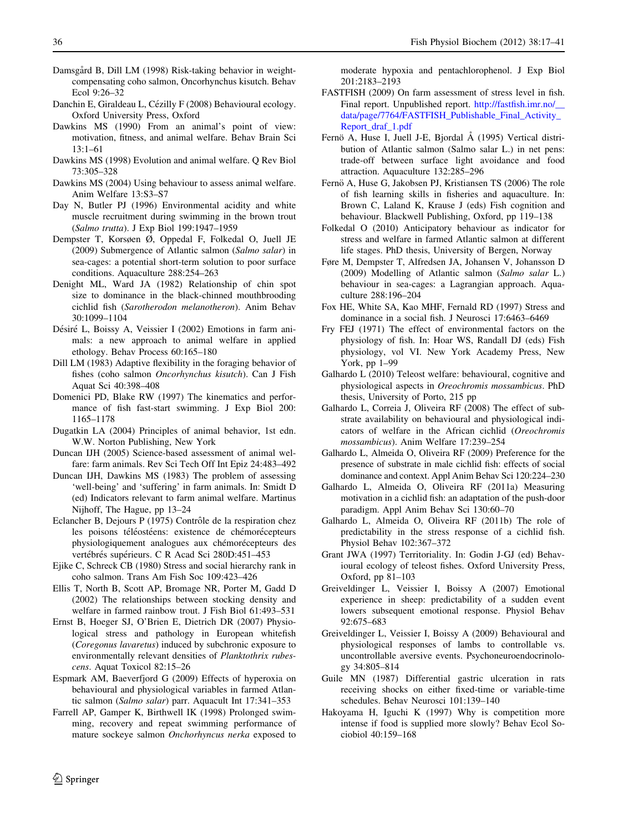- <span id="page-19-0"></span>Damsgård B, Dill LM (1998) Risk-taking behavior in weightcompensating coho salmon, Oncorhynchus kisutch. Behav Ecol 9:26–32
- Danchin E, Giraldeau L, Cézilly F (2008) Behavioural ecology. Oxford University Press, Oxford
- Dawkins MS (1990) From an animal's point of view: motivation, fitness, and animal welfare. Behav Brain Sci 13:1–61
- Dawkins MS (1998) Evolution and animal welfare. Q Rev Biol 73:305–328
- Dawkins MS (2004) Using behaviour to assess animal welfare. Anim Welfare 13:S3–S7
- Day N, Butler PJ (1996) Environmental acidity and white muscle recruitment during swimming in the brown trout (Salmo trutta). J Exp Biol 199:1947–1959
- Dempster T, Korsøen Ø, Oppedal F, Folkedal O, Juell JE (2009) Submergence of Atlantic salmon (Salmo salar) in sea-cages: a potential short-term solution to poor surface conditions. Aquaculture 288:254–263
- Denight ML, Ward JA (1982) Relationship of chin spot size to dominance in the black-chinned mouthbrooding cichlid fish (Sarotherodon melanotheron). Anim Behav 30:1099–1104
- Désiré L, Boissy A, Veissier I (2002) Emotions in farm animals: a new approach to animal welfare in applied ethology. Behav Process 60:165–180
- Dill LM (1983) Adaptive flexibility in the foraging behavior of fishes (coho salmon Oncorhynchus kisutch). Can J Fish Aquat Sci 40:398–408
- Domenici PD, Blake RW (1997) The kinematics and performance of fish fast-start swimming. J Exp Biol 200: 1165–1178
- Dugatkin LA (2004) Principles of animal behavior, 1st edn. W.W. Norton Publishing, New York
- Duncan IJH (2005) Science-based assessment of animal welfare: farm animals. Rev Sci Tech Off Int Epiz 24:483–492
- Duncan IJH, Dawkins MS (1983) The problem of assessing 'well-being' and 'suffering' in farm animals. In: Smidt D (ed) Indicators relevant to farm animal welfare. Martinus Nijhoff, The Hague, pp 13–24
- Eclancher B, Dejours P (1975) Contrôle de la respiration chez les poisons téléostéens: existence de chémorécepteurs physiologiquement analogues aux chémorécepteurs des vertébrés supérieurs. C R Acad Sci 280D:451-453
- Ejike C, Schreck CB (1980) Stress and social hierarchy rank in coho salmon. Trans Am Fish Soc 109:423–426
- Ellis T, North B, Scott AP, Bromage NR, Porter M, Gadd D (2002) The relationships between stocking density and welfare in farmed rainbow trout. J Fish Biol 61:493–531
- Ernst B, Hoeger SJ, O'Brien E, Dietrich DR (2007) Physiological stress and pathology in European whitefish (Coregonus lavaretus) induced by subchronic exposure to environmentally relevant densities of Planktothrix rubescens. Aquat Toxicol 82:15–26
- Espmark AM, Baeverfjord G (2009) Effects of hyperoxia on behavioural and physiological variables in farmed Atlantic salmon (Salmo salar) parr. Aquacult Int 17:341–353
- Farrell AP, Gamper K, Birthwell IK (1998) Prolonged swimming, recovery and repeat swimming performance of mature sockeye salmon Onchorhyncus nerka exposed to

moderate hypoxia and pentachlorophenol. J Exp Biol 201:2183–2193

- FASTFISH (2009) On farm assessment of stress level in fish. Final report. Unpublished report. [http://fastfish.imr.no/\\_\\_](http://fastfish.imr.no/__data/page/7764/FASTFISH_Publishable_Final_Activity_Report_draf_1.pdf) [data/page/7764/FASTFISH\\_Publishable\\_Final\\_Activity\\_](http://fastfish.imr.no/__data/page/7764/FASTFISH_Publishable_Final_Activity_Report_draf_1.pdf) [Report\\_draf\\_1.pdf](http://fastfish.imr.no/__data/page/7764/FASTFISH_Publishable_Final_Activity_Report_draf_1.pdf)
- Fernö A, Huse I, Juell J-E, Bjordal Å (1995) Vertical distribution of Atlantic salmon (Salmo salar L.) in net pens: trade-off between surface light avoidance and food attraction. Aquaculture 132:285–296
- Fernö A, Huse G, Jakobsen PJ, Kristiansen TS (2006) The role of fish learning skills in fisheries and aquaculture. In: Brown C, Laland K, Krause J (eds) Fish cognition and behaviour. Blackwell Publishing, Oxford, pp 119–138
- Folkedal O (2010) Anticipatory behaviour as indicator for stress and welfare in farmed Atlantic salmon at different life stages. PhD thesis, University of Bergen, Norway
- Føre M, Dempster T, Alfredsen JA, Johansen V, Johansson D (2009) Modelling of Atlantic salmon (Salmo salar L.) behaviour in sea-cages: a Lagrangian approach. Aquaculture 288:196–204
- Fox HE, White SA, Kao MHF, Fernald RD (1997) Stress and dominance in a social fish. J Neurosci 17:6463–6469
- Fry FEJ (1971) The effect of environmental factors on the physiology of fish. In: Hoar WS, Randall DJ (eds) Fish physiology, vol VI. New York Academy Press, New York, pp 1–99
- Galhardo L (2010) Teleost welfare: behavioural, cognitive and physiological aspects in Oreochromis mossambicus. PhD thesis, University of Porto, 215 pp
- Galhardo L, Correia J, Oliveira RF (2008) The effect of substrate availability on behavioural and physiological indicators of welfare in the African cichlid (Oreochromis mossambicus). Anim Welfare 17:239–254
- Galhardo L, Almeida O, Oliveira RF (2009) Preference for the presence of substrate in male cichlid fish: effects of social dominance and context. Appl Anim Behav Sci 120:224–230
- Galhardo L, Almeida O, Oliveira RF (2011a) Measuring motivation in a cichlid fish: an adaptation of the push-door paradigm. Appl Anim Behav Sci 130:60–70
- Galhardo L, Almeida O, Oliveira RF (2011b) The role of predictability in the stress response of a cichlid fish. Physiol Behav 102:367–372
- Grant JWA (1997) Territoriality. In: Godin J-GJ (ed) Behavioural ecology of teleost fishes. Oxford University Press, Oxford, pp 81–103
- Greiveldinger L, Veissier I, Boissy A (2007) Emotional experience in sheep: predictability of a sudden event lowers subsequent emotional response. Physiol Behav 92:675–683
- Greiveldinger L, Veissier I, Boissy A (2009) Behavioural and physiological responses of lambs to controllable vs. uncontrollable aversive events. Psychoneuroendocrinology 34:805–814
- Guile MN (1987) Differential gastric ulceration in rats receiving shocks on either fixed-time or variable-time schedules. Behav Neurosci 101:139–140
- Hakoyama H, Iguchi K (1997) Why is competition more intense if food is supplied more slowly? Behav Ecol Sociobiol 40:159–168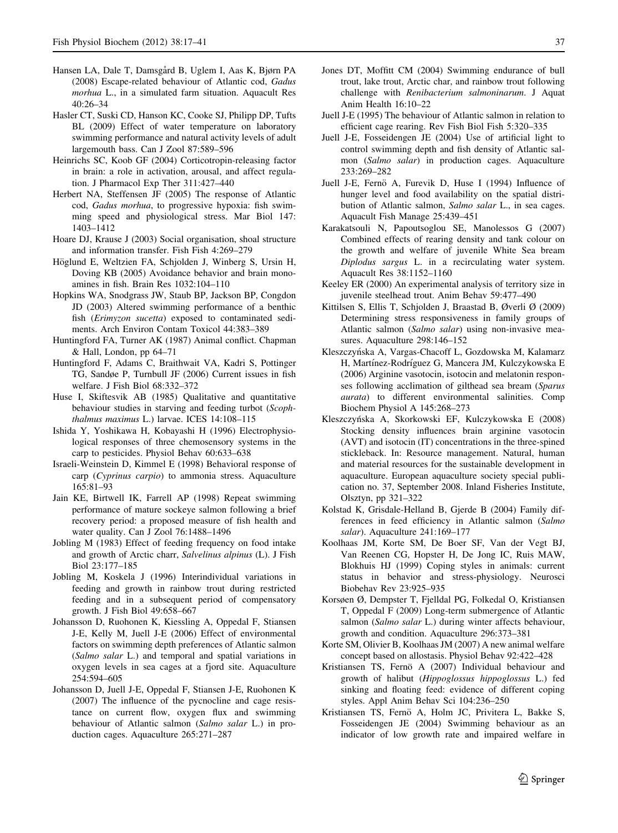- <span id="page-20-0"></span>Hansen LA, Dale T, Damsgård B, Uglem I, Aas K, Bjørn PA (2008) Escape-related behaviour of Atlantic cod, Gadus morhua L., in a simulated farm situation. Aquacult Res 40:26–34
- Hasler CT, Suski CD, Hanson KC, Cooke SJ, Philipp DP, Tufts BL (2009) Effect of water temperature on laboratory swimming performance and natural activity levels of adult largemouth bass. Can J Zool 87:589–596
- Heinrichs SC, Koob GF (2004) Corticotropin-releasing factor in brain: a role in activation, arousal, and affect regulation. J Pharmacol Exp Ther 311:427–440
- Herbert NA, Steffensen JF (2005) The response of Atlantic cod, Gadus morhua, to progressive hypoxia: fish swimming speed and physiological stress. Mar Biol 147: 1403–1412
- Hoare DJ, Krause J (2003) Social organisation, shoal structure and information transfer. Fish Fish 4:269–279
- Höglund E, Weltzien FA, Schjolden J, Winberg S, Ursin H, Doving KB (2005) Avoidance behavior and brain monoamines in fish. Brain Res 1032:104–110
- Hopkins WA, Snodgrass JW, Staub BP, Jackson BP, Congdon JD (2003) Altered swimming performance of a benthic fish (Erimyzon sucetta) exposed to contaminated sediments. Arch Environ Contam Toxicol 44:383–389
- Huntingford FA, Turner AK (1987) Animal conflict. Chapman & Hall, London, pp 64–71
- Huntingford F, Adams C, Braithwait VA, Kadri S, Pottinger TG, Sandøe P, Turnbull JF (2006) Current issues in fish welfare. J Fish Biol 68:332–372
- Huse I, Skiftesvik AB (1985) Qualitative and quantitative behaviour studies in starving and feeding turbot (Scophthalmus maximus L.) larvae. ICES 14:108–115
- Ishida Y, Yoshikawa H, Kobayashi H (1996) Electrophysiological responses of three chemosensory systems in the carp to pesticides. Physiol Behav 60:633–638
- Israeli-Weinstein D, Kimmel E (1998) Behavioral response of carp (Cyprinus carpio) to ammonia stress. Aquaculture 165:81–93
- Jain KE, Birtwell IK, Farrell AP (1998) Repeat swimming performance of mature sockeye salmon following a brief recovery period: a proposed measure of fish health and water quality. Can J Zool 76:1488–1496
- Jobling M (1983) Effect of feeding frequency on food intake and growth of Arctic charr, Salvelinus alpinus (L). J Fish Biol 23:177–185
- Jobling M, Koskela J (1996) Interindividual variations in feeding and growth in rainbow trout during restricted feeding and in a subsequent period of compensatory growth. J Fish Biol 49:658–667
- Johansson D, Ruohonen K, Kiessling A, Oppedal F, Stiansen J-E, Kelly M, Juell J-E (2006) Effect of environmental factors on swimming depth preferences of Atlantic salmon (Salmo salar L.) and temporal and spatial variations in oxygen levels in sea cages at a fjord site. Aquaculture 254:594–605
- Johansson D, Juell J-E, Oppedal F, Stiansen J-E, Ruohonen K (2007) The influence of the pycnocline and cage resistance on current flow, oxygen flux and swimming behaviour of Atlantic salmon (Salmo salar L.) in production cages. Aquaculture 265:271–287
- Jones DT, Moffitt CM (2004) Swimming endurance of bull trout, lake trout, Arctic char, and rainbow trout following challenge with Renibacterium salmoninarum. J Aquat Anim Health 16:10–22
- Juell J-E (1995) The behaviour of Atlantic salmon in relation to efficient cage rearing. Rev Fish Biol Fish 5:320–335
- Juell J-E, Fosseidengen JE (2004) Use of artificial light to control swimming depth and fish density of Atlantic salmon (Salmo salar) in production cages. Aquaculture 233:269–282
- Juell J-E, Fernö A, Furevik D, Huse I (1994) Influence of hunger level and food availability on the spatial distribution of Atlantic salmon, Salmo salar L., in sea cages. Aquacult Fish Manage 25:439–451
- Karakatsouli N, Papoutsoglou SE, Manolessos G (2007) Combined effects of rearing density and tank colour on the growth and welfare of juvenile White Sea bream Diplodus sargus L. in a recirculating water system. Aquacult Res 38:1152–1160
- Keeley ER (2000) An experimental analysis of territory size in juvenile steelhead trout. Anim Behav 59:477–490
- Kittilsen S, Ellis T, Schjolden J, Braastad B, Øverli Ø (2009) Determining stress responsiveness in family groups of Atlantic salmon (Salmo salar) using non-invasive measures. Aquaculture 298:146–152
- Kleszczyńska A, Vargas-Chacoff L, Gozdowska M, Kalamarz H, Martínez-Rodríguez G, Mancera JM, Kulczykowska E (2006) Arginine vasotocin, isotocin and melatonin responses following acclimation of gilthead sea bream (Sparus aurata) to different environmental salinities. Comp Biochem Physiol A 145:268–273
- Kleszczyn´ska A, Skorkowski EF, Kulczykowska E (2008) Stocking density influences brain arginine vasotocin (AVT) and isotocin (IT) concentrations in the three-spined stickleback. In: Resource management. Natural, human and material resources for the sustainable development in aquaculture. European aquaculture society special publication no. 37, September 2008. Inland Fisheries Institute, Olsztyn, pp 321–322
- Kolstad K, Grisdale-Helland B, Gjerde B (2004) Family differences in feed efficiency in Atlantic salmon (Salmo salar). Aquaculture 241:169–177
- Koolhaas JM, Korte SM, De Boer SF, Van der Vegt BJ, Van Reenen CG, Hopster H, De Jong IC, Ruis MAW, Blokhuis HJ (1999) Coping styles in animals: current status in behavior and stress-physiology. Neurosci Biobehav Rev 23:925–935
- Korsøen Ø, Dempster T, Fjelldal PG, Folkedal O, Kristiansen T, Oppedal F (2009) Long-term submergence of Atlantic salmon (Salmo salar L.) during winter affects behaviour, growth and condition. Aquaculture 296:373–381
- Korte SM, Olivier B, Koolhaas JM (2007) A new animal welfare concept based on allostasis. Physiol Behav 92:422–428
- Kristiansen TS, Fernö A (2007) Individual behaviour and growth of halibut (Hippoglossus hippoglossus L.) fed sinking and floating feed: evidence of different coping styles. Appl Anim Behav Sci 104:236–250
- Kristiansen TS, Fernö A, Holm JC, Privitera L, Bakke S, Fosseidengen JE (2004) Swimming behaviour as an indicator of low growth rate and impaired welfare in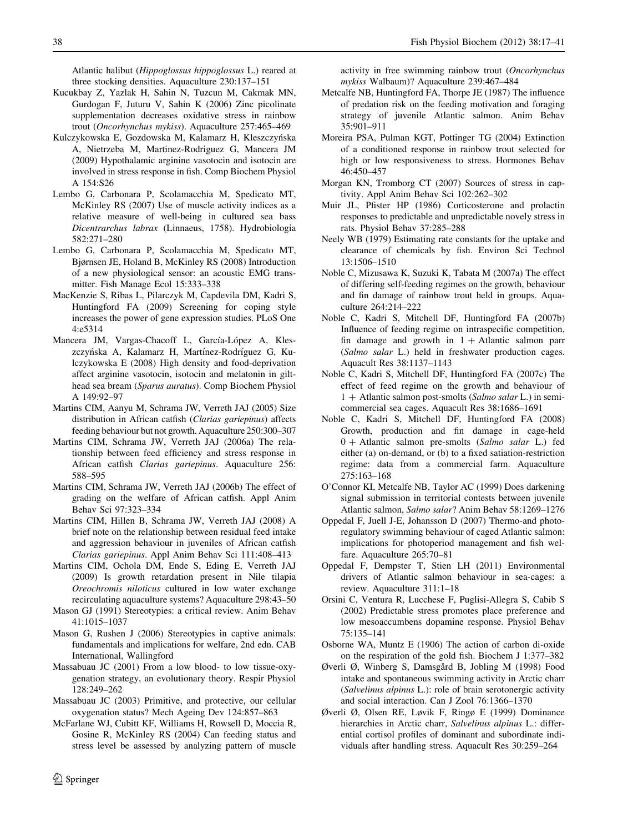<span id="page-21-0"></span>Atlantic halibut (Hippoglossus hippoglossus L.) reared at three stocking densities. Aquaculture 230:137–151

- Kucukbay Z, Yazlak H, Sahin N, Tuzcun M, Cakmak MN, Gurdogan F, Juturu V, Sahin K (2006) Zinc picolinate supplementation decreases oxidative stress in rainbow trout (Oncorhynchus mykiss). Aquaculture 257:465–469
- Kulczykowska E, Gozdowska M, Kalamarz H, Kleszczyńska A, Nietrzeba M, Martinez-Rodriguez G, Mancera JM (2009) Hypothalamic arginine vasotocin and isotocin are involved in stress response in fish. Comp Biochem Physiol A 154:S26
- Lembo G, Carbonara P, Scolamacchia M, Spedicato MT, McKinley RS (2007) Use of muscle activity indices as a relative measure of well-being in cultured sea bass Dicentrarchus labrax (Linnaeus, 1758). Hydrobiologia 582:271–280
- Lembo G, Carbonara P, Scolamacchia M, Spedicato MT, Bjørnsen JE, Holand B, McKinley RS (2008) Introduction of a new physiological sensor: an acoustic EMG transmitter. Fish Manage Ecol 15:333–338
- MacKenzie S, Ribas L, Pilarczyk M, Capdevila DM, Kadri S, Huntingford FA (2009) Screening for coping style increases the power of gene expression studies. PLoS One 4:e5314
- Mancera JM, Vargas-Chacoff L, García-López A, Kleszczyńska A, Kalamarz H, Martínez-Rodríguez G, Kulczykowska E (2008) High density and food-deprivation affect arginine vasotocin, isotocin and melatonin in gilthead sea bream (Sparus auratus). Comp Biochem Physiol A 149:92–97
- Martins CIM, Aanyu M, Schrama JW, Verreth JAJ (2005) Size distribution in African catfish (Clarias gariepinus) affects feeding behaviour but not growth. Aquaculture 250:300–307
- Martins CIM, Schrama JW, Verreth JAJ (2006a) The relationship between feed efficiency and stress response in African catfish Clarias gariepinus. Aquaculture 256: 588–595
- Martins CIM, Schrama JW, Verreth JAJ (2006b) The effect of grading on the welfare of African catfish. Appl Anim Behav Sci 97:323–334
- Martins CIM, Hillen B, Schrama JW, Verreth JAJ (2008) A brief note on the relationship between residual feed intake and aggression behaviour in juveniles of African catfish Clarias gariepinus. Appl Anim Behav Sci 111:408–413
- Martins CIM, Ochola DM, Ende S, Eding E, Verreth JAJ (2009) Is growth retardation present in Nile tilapia Oreochromis niloticus cultured in low water exchange recirculating aquaculture systems? Aquaculture 298:43–50
- Mason GJ (1991) Stereotypies: a critical review. Anim Behav 41:1015–1037
- Mason G, Rushen J (2006) Stereotypies in captive animals: fundamentals and implications for welfare, 2nd edn. CAB International, Wallingford
- Massabuau JC (2001) From a low blood- to low tissue-oxygenation strategy, an evolutionary theory. Respir Physiol 128:249–262
- Massabuau JC (2003) Primitive, and protective, our cellular oxygenation status? Mech Ageing Dev 124:857–863
- McFarlane WJ, Cubitt KF, Williams H, Rowsell D, Moccia R, Gosine R, McKinley RS (2004) Can feeding status and stress level be assessed by analyzing pattern of muscle

activity in free swimming rainbow trout (Oncorhynchus mykiss Walbaum)? Aquaculture 239:467–484

- Metcalfe NB, Huntingford FA, Thorpe JE (1987) The influence of predation risk on the feeding motivation and foraging strategy of juvenile Atlantic salmon. Anim Behav 35:901–911
- Moreira PSA, Pulman KGT, Pottinger TG (2004) Extinction of a conditioned response in rainbow trout selected for high or low responsiveness to stress. Hormones Behav 46:450–457
- Morgan KN, Tromborg CT (2007) Sources of stress in captivity. Appl Anim Behav Sci 102:262–302
- Muir JL, Pfister HP (1986) Corticosterone and prolactin responses to predictable and unpredictable novely stress in rats. Physiol Behav 37:285–288
- Neely WB (1979) Estimating rate constants for the uptake and clearance of chemicals by fish. Environ Sci Technol 13:1506–1510
- Noble C, Mizusawa K, Suzuki K, Tabata M (2007a) The effect of differing self-feeding regimes on the growth, behaviour and fin damage of rainbow trout held in groups. Aquaculture 264:214–222
- Noble C, Kadri S, Mitchell DF, Huntingford FA (2007b) Influence of feeding regime on intraspecific competition, fin damage and growth in  $1 +$  Atlantic salmon parr (Salmo salar L.) held in freshwater production cages. Aquacult Res 38:1137–1143
- Noble C, Kadri S, Mitchell DF, Huntingford FA (2007c) The effect of feed regime on the growth and behaviour of  $1 +$  Atlantic salmon post-smolts (Salmo salar L.) in semicommercial sea cages. Aquacult Res 38:1686–1691
- Noble C, Kadri S, Mitchell DF, Huntingford FA (2008) Growth, production and fin damage in cage-held  $0 +$  Atlantic salmon pre-smolts (Salmo salar L.) fed either (a) on-demand, or (b) to a fixed satiation-restriction regime: data from a commercial farm. Aquaculture 275:163–168
- O'Connor KI, Metcalfe NB, Taylor AC (1999) Does darkening signal submission in territorial contests between juvenile Atlantic salmon, Salmo salar? Anim Behav 58:1269–1276
- Oppedal F, Juell J-E, Johansson D (2007) Thermo-and photoregulatory swimming behaviour of caged Atlantic salmon: implications for photoperiod management and fish welfare. Aquaculture 265:70–81
- Oppedal F, Dempster T, Stien LH (2011) Environmental drivers of Atlantic salmon behaviour in sea-cages: a review. Aquaculture 311:1–18
- Orsini C, Ventura R, Lucchese F, Puglisi-Allegra S, Cabib S (2002) Predictable stress promotes place preference and low mesoaccumbens dopamine response. Physiol Behav 75:135–141
- Osborne WA, Muntz E (1906) The action of carbon di-oxide on the respiration of the gold fish. Biochem J 1:377–382
- Øverli Ø, Winberg S, Damsgård B, Jobling M (1998) Food intake and spontaneous swimming activity in Arctic charr (Salvelinus alpinus L.): role of brain serotonergic activity and social interaction. Can J Zool 76:1366–1370
- Øverli Ø, Olsen RE, Løvik F, Ringø E (1999) Dominance hierarchies in Arctic charr, Salvelinus alpinus L.: differential cortisol profiles of dominant and subordinate individuals after handling stress. Aquacult Res 30:259–264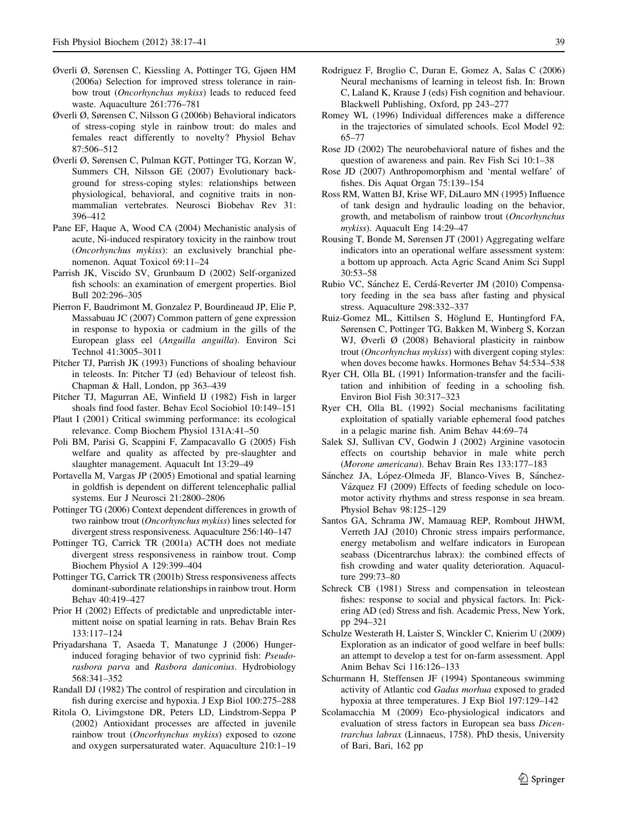- <span id="page-22-0"></span>Øverli Ø, Sørensen C, Kiessling A, Pottinger TG, Gjøen HM (2006a) Selection for improved stress tolerance in rainbow trout (Oncorhynchus mykiss) leads to reduced feed waste. Aquaculture 261:776–781
- Øverli Ø, Sørensen C, Nilsson G (2006b) Behavioral indicators of stress-coping style in rainbow trout: do males and females react differently to novelty? Physiol Behav 87:506–512
- Øverli Ø, Sørensen C, Pulman KGT, Pottinger TG, Korzan W, Summers CH, Nilsson GE (2007) Evolutionary background for stress-coping styles: relationships between physiological, behavioral, and cognitive traits in nonmammalian vertebrates. Neurosci Biobehav Rev 31: 396–412
- Pane EF, Haque A, Wood CA (2004) Mechanistic analysis of acute, Ni-induced respiratory toxicity in the rainbow trout (Oncorhynchus mykiss): an exclusively branchial phenomenon. Aquat Toxicol 69:11–24
- Parrish JK, Viscido SV, Grunbaum D (2002) Self-organized fish schools: an examination of emergent properties. Biol Bull 202:296–305
- Pierron F, Baudrimont M, Gonzalez P, Bourdineaud JP, Elie P, Massabuau JC (2007) Common pattern of gene expression in response to hypoxia or cadmium in the gills of the European glass eel (Anguilla anguilla). Environ Sci Technol 41:3005–3011
- Pitcher TJ, Parrish JK (1993) Functions of shoaling behaviour in teleosts. In: Pitcher TJ (ed) Behaviour of teleost fish. Chapman & Hall, London, pp 363–439
- Pitcher TJ, Magurran AE, Winfield IJ (1982) Fish in larger shoals find food faster. Behav Ecol Sociobiol 10:149–151
- Plaut I (2001) Critical swimming performance: its ecological relevance. Comp Biochem Physiol 131A:41–50
- Poli BM, Parisi G, Scappini F, Zampacavallo G (2005) Fish welfare and quality as affected by pre-slaughter and slaughter management. Aquacult Int 13:29–49
- Portavella M, Vargas JP (2005) Emotional and spatial learning in goldfish is dependent on different telencephalic pallial systems. Eur J Neurosci 21:2800–2806
- Pottinger TG (2006) Context dependent differences in growth of two rainbow trout (Oncorhynchus mykiss) lines selected for divergent stress responsiveness. Aquaculture 256:140–147
- Pottinger TG, Carrick TR (2001a) ACTH does not mediate divergent stress responsiveness in rainbow trout. Comp Biochem Physiol A 129:399–404
- Pottinger TG, Carrick TR (2001b) Stress responsiveness affects dominant-subordinate relationships in rainbow trout. Horm Behav 40:419–427
- Prior H (2002) Effects of predictable and unpredictable intermittent noise on spatial learning in rats. Behav Brain Res 133:117–124
- Priyadarshana T, Asaeda T, Manatunge J (2006) Hungerinduced foraging behavior of two cyprinid fish: Pseudorasbora parva and Rasbora daniconius. Hydrobiology 568:341–352
- Randall DJ (1982) The control of respiration and circulation in fish during exercise and hypoxia. J Exp Biol 100:275–288
- Ritola O, Livimgstone DR, Peters LD, Lindstrom-Seppa P (2002) Antioxidant processes are affected in juvenile rainbow trout (Oncorhynchus mykiss) exposed to ozone and oxygen surpersaturated water. Aquaculture 210:1–19
- Rodriguez F, Broglio C, Duran E, Gomez A, Salas C (2006) Neural mechanisms of learning in teleost fish. In: Brown C, Laland K, Krause J (eds) Fish cognition and behaviour. Blackwell Publishing, Oxford, pp 243–277
- Romey WL (1996) Individual differences make a difference in the trajectories of simulated schools. Ecol Model 92: 65–77
- Rose JD (2002) The neurobehavioral nature of fishes and the question of awareness and pain. Rev Fish Sci 10:1–38
- Rose JD (2007) Anthropomorphism and 'mental welfare' of fishes. Dis Aquat Organ 75:139–154
- Ross RM, Watten BJ, Krise WF, DiLauro MN (1995) Influence of tank design and hydraulic loading on the behavior, growth, and metabolism of rainbow trout (Oncorhynchus mykiss). Aquacult Eng 14:29–47
- Rousing T, Bonde M, Sørensen JT (2001) Aggregating welfare indicators into an operational welfare assessment system: a bottom up approach. Acta Agric Scand Anim Sci Suppl 30:53–58
- Rubio VC, Sánchez E, Cerdá-Reverter JM (2010) Compensatory feeding in the sea bass after fasting and physical stress. Aquaculture 298:332–337
- Ruiz-Gomez ML, Kittilsen S, Höglund E, Huntingford FA, Sørensen C, Pottinger TG, Bakken M, Winberg S, Korzan WJ, Øverli Ø (2008) Behavioral plasticity in rainbow trout (Oncorhynchus mykiss) with divergent coping styles: when doves become hawks. Hormones Behav 54:534–538
- Ryer CH, Olla BL (1991) Information-transfer and the facilitation and inhibition of feeding in a schooling fish. Environ Biol Fish 30:317–323
- Ryer CH, Olla BL (1992) Social mechanisms facilitating exploitation of spatially variable ephemeral food patches in a pelagic marine fish. Anim Behav 44:69–74
- Salek SJ, Sullivan CV, Godwin J (2002) Arginine vasotocin effects on courtship behavior in male white perch (Morone americana). Behav Brain Res 133:177–183
- Sánchez JA, López-Olmeda JF, Blanco-Vives B, Sánchez-Vázquez FJ (2009) Effects of feeding schedule on locomotor activity rhythms and stress response in sea bream. Physiol Behav 98:125–129
- Santos GA, Schrama JW, Mamauag REP, Rombout JHWM, Verreth JAJ (2010) Chronic stress impairs performance, energy metabolism and welfare indicators in European seabass (Dicentrarchus labrax): the combined effects of fish crowding and water quality deterioration. Aquaculture 299:73–80
- Schreck CB (1981) Stress and compensation in teleostean fishes: response to social and physical factors. In: Pickering AD (ed) Stress and fish. Academic Press, New York, pp 294–321
- Schulze Westerath H, Laister S, Winckler C, Knierim U (2009) Exploration as an indicator of good welfare in beef bulls: an attempt to develop a test for on-farm assessment. Appl Anim Behav Sci 116:126–133
- Schurmann H, Steffensen JF (1994) Spontaneous swimming activity of Atlantic cod Gadus morhua exposed to graded hypoxia at three temperatures. J Exp Biol 197:129–142
- Scolamacchia M (2009) Eco-physiological indicators and evaluation of stress factors in European sea bass Dicentrarchus labrax (Linnaeus, 1758). PhD thesis, University of Bari, Bari, 162 pp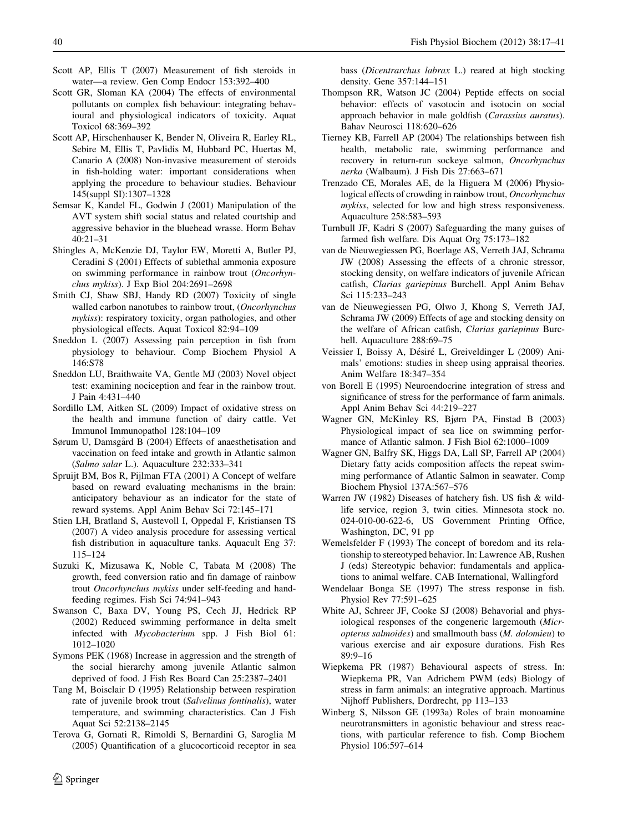- <span id="page-23-0"></span>Scott AP, Ellis T (2007) Measurement of fish steroids in water—a review. Gen Comp Endocr 153:392–400
- Scott GR, Sloman KA (2004) The effects of environmental pollutants on complex fish behaviour: integrating behavioural and physiological indicators of toxicity. Aquat Toxicol 68:369–392
- Scott AP, Hirschenhauser K, Bender N, Oliveira R, Earley RL, Sebire M, Ellis T, Pavlidis M, Hubbard PC, Huertas M, Canario A (2008) Non-invasive measurement of steroids in fish-holding water: important considerations when applying the procedure to behaviour studies. Behaviour 145(suppl SI):1307–1328
- Semsar K, Kandel FL, Godwin J (2001) Manipulation of the AVT system shift social status and related courtship and aggressive behavior in the bluehead wrasse. Horm Behav 40:21–31
- Shingles A, McKenzie DJ, Taylor EW, Moretti A, Butler PJ, Ceradini S (2001) Effects of sublethal ammonia exposure on swimming performance in rainbow trout (Oncorhynchus mykiss). J Exp Biol 204:2691–2698
- Smith CJ, Shaw SBJ, Handy RD (2007) Toxicity of single walled carbon nanotubes to rainbow trout, (Oncorhynchus mykiss): respiratory toxicity, organ pathologies, and other physiological effects. Aquat Toxicol 82:94–109
- Sneddon L (2007) Assessing pain perception in fish from physiology to behaviour. Comp Biochem Physiol A 146:S78
- Sneddon LU, Braithwaite VA, Gentle MJ (2003) Novel object test: examining nociception and fear in the rainbow trout. J Pain 4:431–440
- Sordillo LM, Aitken SL (2009) Impact of oxidative stress on the health and immune function of dairy cattle. Vet Immunol Immunopathol 128:104–109
- Sørum U, Damsgård B (2004) Effects of anaesthetisation and vaccination on feed intake and growth in Atlantic salmon (Salmo salar L.). Aquaculture 232:333–341
- Spruijt BM, Bos R, Pijlman FTA (2001) A Concept of welfare based on reward evaluating mechanisms in the brain: anticipatory behaviour as an indicator for the state of reward systems. Appl Anim Behav Sci 72:145–171
- Stien LH, Bratland S, Austevoll I, Oppedal F, Kristiansen TS (2007) A video analysis procedure for assessing vertical fish distribution in aquaculture tanks. Aquacult Eng 37: 115–124
- Suzuki K, Mizusawa K, Noble C, Tabata M (2008) The growth, feed conversion ratio and fin damage of rainbow trout Oncorhynchus mykiss under self-feeding and handfeeding regimes. Fish Sci 74:941–943
- Swanson C, Baxa DV, Young PS, Cech JJ, Hedrick RP (2002) Reduced swimming performance in delta smelt infected with Mycobacterium spp. J Fish Biol 61: 1012–1020
- Symons PEK (1968) Increase in aggression and the strength of the social hierarchy among juvenile Atlantic salmon deprived of food. J Fish Res Board Can 25:2387–2401
- Tang M, Boisclair D (1995) Relationship between respiration rate of juvenile brook trout (Salvelinus fontinalis), water temperature, and swimming characteristics. Can J Fish Aquat Sci 52:2138–2145
- Terova G, Gornati R, Rimoldi S, Bernardini G, Saroglia M (2005) Quantification of a glucocorticoid receptor in sea

bass (Dicentrarchus labrax L.) reared at high stocking density. Gene 357:144–151

- Thompson RR, Watson JC (2004) Peptide effects on social behavior: effects of vasotocin and isotocin on social approach behavior in male goldfish (Carassius auratus). Bahav Neurosci 118:620–626
- Tierney KB, Farrell AP (2004) The relationships between fish health, metabolic rate, swimming performance and recovery in return-run sockeye salmon, Oncorhynchus nerka (Walbaum). J Fish Dis 27:663–671
- Trenzado CE, Morales AE, de la Higuera M (2006) Physiological effects of crowding in rainbow trout, Oncorhynchus mykiss, selected for low and high stress responsiveness. Aquaculture 258:583–593
- Turnbull JF, Kadri S (2007) Safeguarding the many guises of farmed fish welfare. Dis Aquat Org 75:173–182
- van de Nieuwegiessen PG, Boerlage AS, Verreth JAJ, Schrama JW (2008) Assessing the effects of a chronic stressor, stocking density, on welfare indicators of juvenile African catfish, Clarias gariepinus Burchell. Appl Anim Behav Sci 115:233–243
- van de Nieuwegiessen PG, Olwo J, Khong S, Verreth JAJ, Schrama JW (2009) Effects of age and stocking density on the welfare of African catfish, Clarias gariepinus Burchell. Aquaculture 288:69–75
- Veissier I, Boissy A, Désiré L, Greiveldinger L (2009) Animals' emotions: studies in sheep using appraisal theories. Anim Welfare 18:347–354
- von Borell E (1995) Neuroendocrine integration of stress and significance of stress for the performance of farm animals. Appl Anim Behav Sci 44:219–227
- Wagner GN, McKinley RS, Bjørn PA, Finstad B (2003) Physiological impact of sea lice on swimming performance of Atlantic salmon. J Fish Biol 62:1000–1009
- Wagner GN, Balfry SK, Higgs DA, Lall SP, Farrell AP (2004) Dietary fatty acids composition affects the repeat swimming performance of Atlantic Salmon in seawater. Comp Biochem Physiol 137A:567–576
- Warren JW (1982) Diseases of hatchery fish. US fish & wildlife service, region 3, twin cities. Minnesota stock no. 024-010-00-622-6, US Government Printing Office, Washington, DC, 91 pp
- Wemelsfelder F (1993) The concept of boredom and its relationship to stereotyped behavior. In: Lawrence AB, Rushen J (eds) Stereotypic behavior: fundamentals and applications to animal welfare. CAB International, Wallingford
- Wendelaar Bonga SE (1997) The stress response in fish. Physiol Rev 77:591–625
- White AJ, Schreer JF, Cooke SJ (2008) Behavorial and physiological responses of the congeneric largemouth (Micropterus salmoides) and smallmouth bass (M. dolomieu) to various exercise and air exposure durations. Fish Res 89:9–16
- Wiepkema PR (1987) Behavioural aspects of stress. In: Wiepkema PR, Van Adrichem PWM (eds) Biology of stress in farm animals: an integrative approach. Martinus Nijhoff Publishers, Dordrecht, pp 113–133
- Winberg S, Nilsson GE (1993a) Roles of brain monoamine neurotransmitters in agonistic behaviour and stress reactions, with particular reference to fish. Comp Biochem Physiol 106:597–614